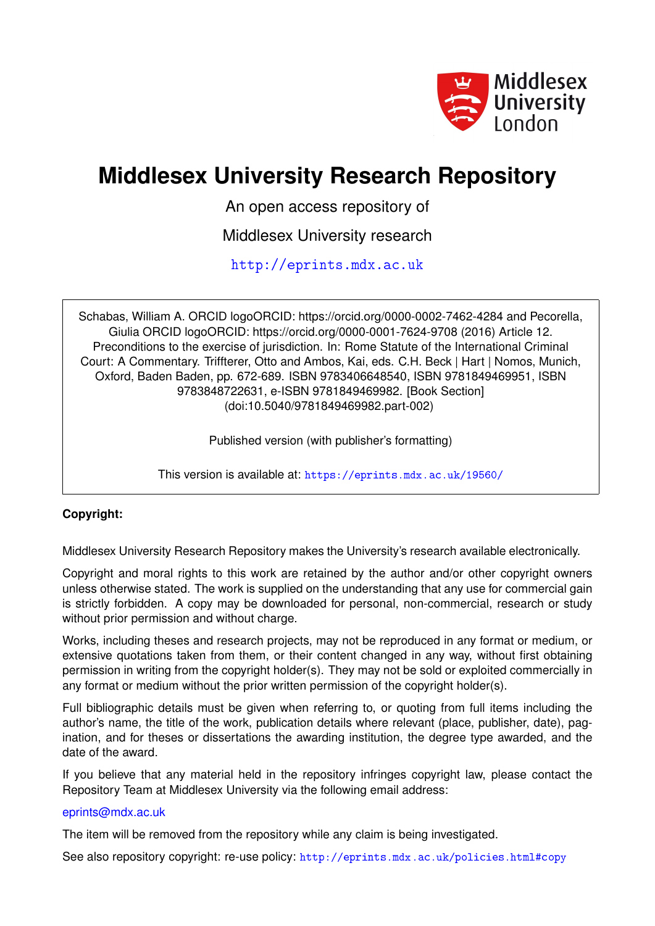

# **Middlesex University Research Repository**

An open access repository of

Middlesex University research

<http://eprints.mdx.ac.uk>

Schabas, William A. ORCID logoORCID: https://orcid.org/0000-0002-7462-4284 and Pecorella, Giulia ORCID logoORCID: https://orcid.org/0000-0001-7624-9708 (2016) Article 12. Preconditions to the exercise of jurisdiction. In: Rome Statute of the International Criminal Court: A Commentary. Triffterer, Otto and Ambos, Kai, eds. C.H. Beck | Hart | Nomos, Munich, Oxford, Baden Baden, pp. 672-689. ISBN 9783406648540, ISBN 9781849469951, ISBN 9783848722631, e-ISBN 9781849469982. [Book Section] (doi:10.5040/9781849469982.part-002)

Published version (with publisher's formatting)

This version is available at: <https://eprints.mdx.ac.uk/19560/>

# **Copyright:**

Middlesex University Research Repository makes the University's research available electronically.

Copyright and moral rights to this work are retained by the author and/or other copyright owners unless otherwise stated. The work is supplied on the understanding that any use for commercial gain is strictly forbidden. A copy may be downloaded for personal, non-commercial, research or study without prior permission and without charge.

Works, including theses and research projects, may not be reproduced in any format or medium, or extensive quotations taken from them, or their content changed in any way, without first obtaining permission in writing from the copyright holder(s). They may not be sold or exploited commercially in any format or medium without the prior written permission of the copyright holder(s).

Full bibliographic details must be given when referring to, or quoting from full items including the author's name, the title of the work, publication details where relevant (place, publisher, date), pagination, and for theses or dissertations the awarding institution, the degree type awarded, and the date of the award.

If you believe that any material held in the repository infringes copyright law, please contact the Repository Team at Middlesex University via the following email address:

# [eprints@mdx.ac.uk](mailto:eprints@mdx.ac.uk)

The item will be removed from the repository while any claim is being investigated.

See also repository copyright: re-use policy: <http://eprints.mdx.ac.uk/policies.html#copy>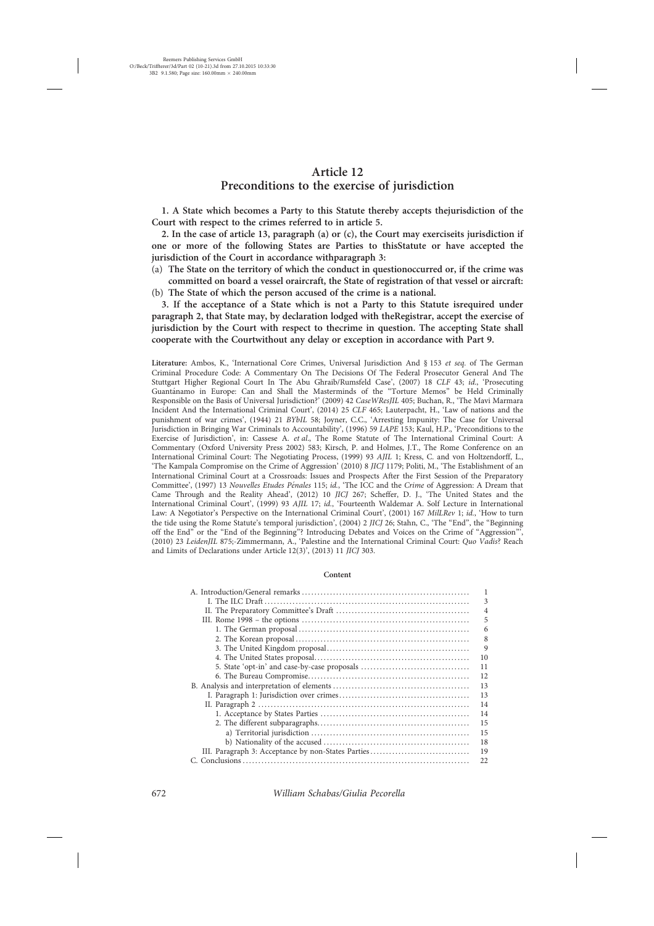## Article 12 Preconditions to the exercise of jurisdiction

1. A State which becomes a Party to this Statute thereby accepts thejurisdiction of the Court with respect to the crimes referred to in article 5.

2. In the case of article 13, paragraph (a) or (c), the Court may exerciseits jurisdiction if one or more of the following States are Parties to thisStatute or have accepted the jurisdiction of the Court in accordance withparagraph 3:

(a) The State on the territory of which the conduct in questionoccurred or, if the crime was committed on board a vessel oraircraft, the State of registration of that vessel or aircraft:

(b) The State of which the person accused of the crime is a national. 3. If the acceptance of a State which is not a Party to this Statute isrequired under paragraph 2, that State may, by declaration lodged with theRegistrar, accept the exercise of jurisdiction by the Court with respect to thecrime in question. The accepting State shall cooperate with the Courtwithout any delay or exception in accordance with Part 9.

Literature: Ambos, K., 'International Core Crimes, Universal Jurisdiction And § 153 et seq. of The German Criminal Procedure Code: A Commentary On The Decisions Of The Federal Prosecutor General And The Stuttgart Higher Regional Court In The Abu Ghraib/Rumsfeld Case', (2007) 18 CLF 43; id., 'Prosecuting Guantánamo in Europe: Can and Shall the Masterminds of the "Torture Memos" be Held Criminally Responsible on the Basis of Universal Jurisdiction?' (2009) 42 CaseWResJIL 405; Buchan, R., 'The Mavi Marmara Incident And the International Criminal Court', (2014) 25 CLF 465; Lauterpacht, H., 'Law of nations and the punishment of war crimes', (1944) 21 BYbIL 58; Joyner, C.C., 'Arresting Impunity: The Case for Universal Jurisdiction in Bringing War Criminals to Accountability', (1996) 59 LAPE 153; Kaul, H.P., 'Preconditions to the Exercise of Jurisdiction', in: Cassese A. et al., The Rome Statute of The International Criminal Court: A Commentary (Oxford University Press 2002) 583; Kirsch, P. and Holmes, J.T., The Rome Conference on an International Criminal Court: The Negotiating Process, (1999) 93 AJIL 1; Kress, C. and von Holtzendorff, L., 'The Kampala Compromise on the Crime of Aggression' (2010) 8 JICJ 1179; Politi, M., 'The Establishment of an International Criminal Court at a Crossroads: Issues and Prospects After the First Session of the Preparatory Committee', (1997) 13 Nouvelles Etudes Pénales 115; id., 'The ICC and the Crime of Aggression: A Dream that Came Through and the Reality Ahead', (2012) 10 JICJ 267; Scheffer, D. J., 'The United States and the International Criminal Court', (1999) 93 AJIL 17; id., 'Fourteenth Waldemar A. Solf Lecture in International Law: A Negotiator's Perspective on the International Criminal Court', (2001) 167 MilLRev 1; id., 'How to turn the tide using the Rome Statute's temporal jurisdiction', (2004) 2 JICJ 26; Stahn, C., 'The "End", the "Beginning off the End" or the "End of the Beginning"? Introducing Debates and Voices on the Crime of "Aggression"', (2010) 23 LeidenJIL 875;-Zimmermann, A., 'Palestine and the International Criminal Court: Quo Vadis? Reach and Limits of Declarations under Article 12(3)', (2013) 11 JICJ 303.

#### Content

| 3  |
|----|
| 4  |
| 5  |
| 6  |
| 8  |
| 9  |
| 10 |
| 11 |
| 12 |
| 13 |
| 13 |
| 14 |
| 14 |
| 15 |
| 15 |
| 18 |
| 19 |
|    |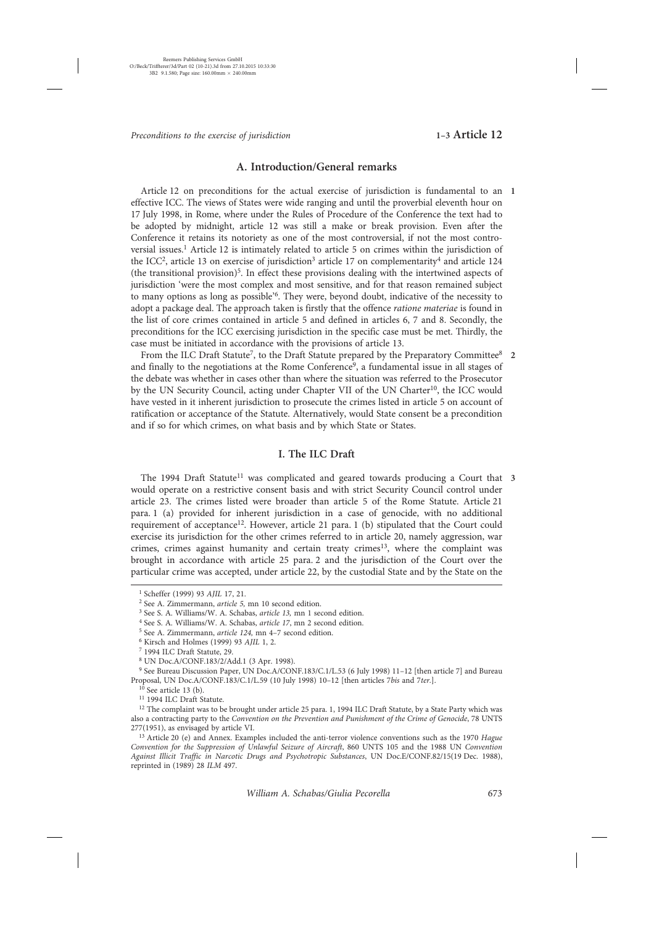Preconditions to the exercise of jurisdiction 1–3 Article 12

### A. Introduction/General remarks

Article 12 on preconditions for the actual exercise of jurisdiction is fundamental to an 1 effective ICC. The views of States were wide ranging and until the proverbial eleventh hour on 17 July 1998, in Rome, where under the Rules of Procedure of the Conference the text had to be adopted by midnight, article 12 was still a make or break provision. Even after the Conference it retains its notoriety as one of the most controversial, if not the most controversial issues.1 Article 12 is intimately related to article 5 on crimes within the jurisdiction of the ICC<sup>2</sup>, article 13 on exercise of jurisdiction<sup>3</sup> article 17 on complementarity<sup>4</sup> and article 124 (the transitional provision)5. In effect these provisions dealing with the intertwined aspects of jurisdiction 'were the most complex and most sensitive, and for that reason remained subject to many options as long as possible' 6. They were, beyond doubt, indicative of the necessity to adopt a package deal. The approach taken is firstly that the offence ratione materiae is found in the list of core crimes contained in article 5 and defined in articles 6, 7 and 8. Secondly, the preconditions for the ICC exercising jurisdiction in the specific case must be met. Thirdly, the case must be initiated in accordance with the provisions of article 13.

From the ILC Draft Statute<sup>7</sup>, to the Draft Statute prepared by the Preparatory Committee<sup>8</sup> and finally to the negotiations at the Rome Conference<sup>9</sup>, a fundamental issue in all stages of the debate was whether in cases other than where the situation was referred to the Prosecutor by the UN Security Council, acting under Chapter VII of the UN Charter<sup>10</sup>, the ICC would have vested in it inherent jurisdiction to prosecute the crimes listed in article 5 on account of ratification or acceptance of the Statute. Alternatively, would State consent be a precondition and if so for which crimes, on what basis and by which State or States.

### I. The ILC Draft

The 1994 Draft Statute<sup>11</sup> was complicated and geared towards producing a Court that  $\overline{3}$ would operate on a restrictive consent basis and with strict Security Council control under article 23. The crimes listed were broader than article 5 of the Rome Statute. Article 21 para. 1 (a) provided for inherent jurisdiction in a case of genocide, with no additional requirement of acceptance<sup>12</sup>. However, article 21 para. 1 (b) stipulated that the Court could exercise its jurisdiction for the other crimes referred to in article 20, namely aggression, war crimes, crimes against humanity and certain treaty crimes<sup>13</sup>, where the complaint was brought in accordance with article 25 para. 2 and the jurisdiction of the Court over the particular crime was accepted, under article 22, by the custodial State and by the State on the

<sup>12</sup> The complaint was to be brought under article 25 para. 1, 1994 ILC Draft Statute, by a State Party which was also a contracting party to the Convention on the Prevention and Punishment of the Crime of Genocide, 78 UNTS 277(1951), as envisaged by article VI.

<sup>13</sup> Article 20 (e) and Annex. Examples included the anti-terror violence conventions such as the 1970 Hague Convention for the Suppression of Unlawful Seizure of Aircraft, 860 UNTS 105 and the 1988 UN Convention Against Illicit Traffic in Narcotic Drugs and Psychotropic Substances, UN Doc.E/CONF.82/15(19 Dec. 1988), reprinted in (1989) 28 ILM 497.

<sup>1</sup> Scheffer (1999) 93 AJIL 17, 21.

<sup>2</sup> See A. Zimmermann, article 5, mn 10 second edition.

<sup>3</sup> See S. A. Williams/W. A. Schabas, article 13, mn 1 second edition.

<sup>&</sup>lt;sup>4</sup> See S. A. Williams/W. A. Schabas, article 17, mn 2 second edition.

<sup>5</sup> See A. Zimmermann, article 124, mn 4–7 second edition.

<sup>6</sup> Kirsch and Holmes (1999) 93 AJIL 1, 2.

<sup>7</sup> 1994 ILC Draft Statute, 29.

<sup>8</sup> UN Doc.A/CONF.183/2/Add.1 (3 Apr. 1998).

<sup>9</sup> See Bureau Discussion Paper, UN Doc.A/CONF.183/C.1/L.53 (6 July 1998) 11–12 [then article 7] and Bureau Proposal, UN Doc.A/CONF.183/C.1/L.59 (10 July 1998) 10–12 [then articles 7bis and 7ter.].

See article 13 (b).

<sup>&</sup>lt;sup>11</sup> 1994 ILC Draft Statute.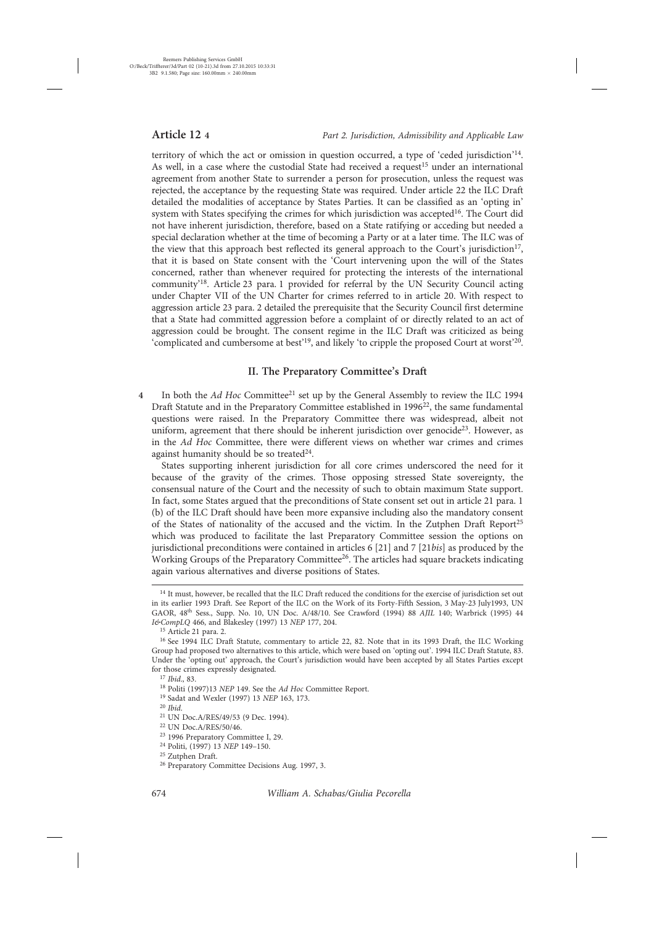### Article 12 4 **Part 2. Jurisdiction, Admissibility and Applicable Law**

territory of which the act or omission in question occurred, a type of 'ceded jurisdiction' 14. As well, in a case where the custodial State had received a request<sup>15</sup> under an international agreement from another State to surrender a person for prosecution, unless the request was rejected, the acceptance by the requesting State was required. Under article 22 the ILC Draft detailed the modalities of acceptance by States Parties. It can be classified as an 'opting in' system with States specifying the crimes for which jurisdiction was accepted<sup>16</sup>. The Court did not have inherent jurisdiction, therefore, based on a State ratifying or acceding but needed a special declaration whether at the time of becoming a Party or at a later time. The ILC was of the view that this approach best reflected its general approach to the Court's jurisdiction<sup>17</sup>, that it is based on State consent with the 'Court intervening upon the will of the States concerned, rather than whenever required for protecting the interests of the international community<sup>18</sup>. Article 23 para. 1 provided for referral by the UN Security Council acting under Chapter VII of the UN Charter for crimes referred to in article 20. With respect to aggression article 23 para. 2 detailed the prerequisite that the Security Council first determine that a State had committed aggression before a complaint of or directly related to an act of aggression could be brought. The consent regime in the ILC Draft was criticized as being 'complicated and cumbersome at best'<sup>19</sup>, and likely 'to cripple the proposed Court at worst'<sup>20</sup>.

#### II. The Preparatory Committee's Draft

4 In both the Ad Hoc Committee<sup>21</sup> set up by the General Assembly to review the ILC 1994 Draft Statute and in the Preparatory Committee established in  $1996^{22}$ , the same fundamental questions were raised. In the Preparatory Committee there was widespread, albeit not uniform, agreement that there should be inherent jurisdiction over genocide<sup>23</sup>. However, as in the Ad Hoc Committee, there were different views on whether war crimes and crimes against humanity should be so treated $24$ .

States supporting inherent jurisdiction for all core crimes underscored the need for it because of the gravity of the crimes. Those opposing stressed State sovereignty, the consensual nature of the Court and the necessity of such to obtain maximum State support. In fact, some States argued that the preconditions of State consent set out in article 21 para. 1 (b) of the ILC Draft should have been more expansive including also the mandatory consent of the States of nationality of the accused and the victim. In the Zutphen Draft Report<sup>25</sup> which was produced to facilitate the last Preparatory Committee session the options on jurisdictional preconditions were contained in articles 6 [21] and 7 [21bis] as produced by the Working Groups of the Preparatory Committee26. The articles had square brackets indicating again various alternatives and diverse positions of States.

<sup>&</sup>lt;sup>14</sup> It must, however, be recalled that the ILC Draft reduced the conditions for the exercise of jurisdiction set out in its earlier 1993 Draft. See Report of the ILC on the Work of its Forty-Fifth Session, 3 May-23 July1993, UN GAOR, 48th Sess., Supp. No. 10, UN Doc. A/48/10. See Crawford (1994) 88 AJIL 140; Warbrick (1995) 44 I&CompLQ 466, and Blakesley (1997) 13 NEP 177, 204.

<sup>15</sup> Article 21 para. 2.

<sup>&</sup>lt;sup>16</sup> See 1994 ILC Draft Statute, commentary to article 22, 82. Note that in its 1993 Draft, the ILC Working Group had proposed two alternatives to this article, which were based on 'opting out'. 1994 ILC Draft Statute, 83. Under the 'opting out' approach, the Court's jurisdiction would have been accepted by all States Parties except for those crimes expressly designated.

<sup>17</sup> Ibid., 83.

<sup>&</sup>lt;sup>18</sup> Politi (1997)13 NEP 149. See the Ad Hoc Committee Report.

<sup>19</sup> Sadat and Wexler (1997) 13 NEP 163, 173.

<sup>20</sup> Ibid.

<sup>21</sup> UN Doc.A/RES/49/53 (9 Dec. 1994).

<sup>22</sup> UN Doc.A/RES/50/46.

<sup>23</sup> 1996 Preparatory Committee I, 29.

<sup>24</sup> Politi, (1997) 13 NEP 149–150.

<sup>25</sup> Zutphen Draft.

<sup>26</sup> Preparatory Committee Decisions Aug. 1997, 3.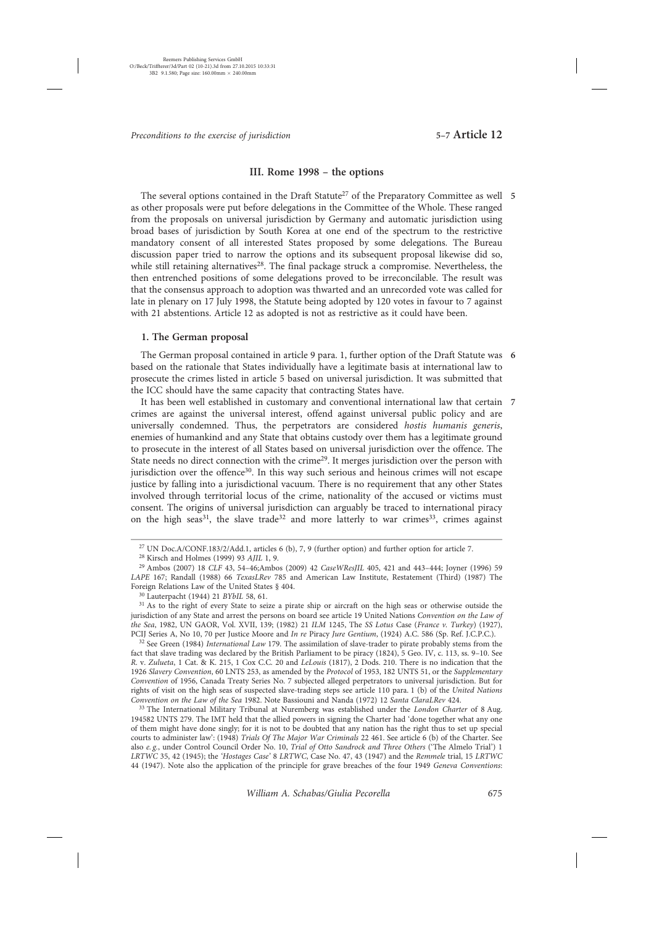Preconditions to the exercise of jurisdiction 5-7 Article 12

#### III. Rome 1998 – the options

The several options contained in the Draft Statute<sup>27</sup> of the Preparatory Committee as well 5 as other proposals were put before delegations in the Committee of the Whole. These ranged from the proposals on universal jurisdiction by Germany and automatic jurisdiction using broad bases of jurisdiction by South Korea at one end of the spectrum to the restrictive mandatory consent of all interested States proposed by some delegations. The Bureau discussion paper tried to narrow the options and its subsequent proposal likewise did so, while still retaining alternatives<sup>28</sup>. The final package struck a compromise. Nevertheless, the then entrenched positions of some delegations proved to be irreconcilable. The result was that the consensus approach to adoption was thwarted and an unrecorded vote was called for late in plenary on 17 July 1998, the Statute being adopted by 120 votes in favour to 7 against with 21 abstentions. Article 12 as adopted is not as restrictive as it could have been.

#### 1. The German proposal

The German proposal contained in article 9 para. 1, further option of the Draft Statute was 6 based on the rationale that States individually have a legitimate basis at international law to prosecute the crimes listed in article 5 based on universal jurisdiction. It was submitted that the ICC should have the same capacity that contracting States have.

It has been well established in customary and conventional international law that certain 7 crimes are against the universal interest, offend against universal public policy and are universally condemned. Thus, the perpetrators are considered hostis humanis generis, enemies of humankind and any State that obtains custody over them has a legitimate ground to prosecute in the interest of all States based on universal jurisdiction over the offence. The State needs no direct connection with the crime<sup>29</sup>. It merges jurisdiction over the person with jurisdiction over the offence<sup>30</sup>. In this way such serious and heinous crimes will not escape justice by falling into a jurisdictional vacuum. There is no requirement that any other States involved through territorial locus of the crime, nationality of the accused or victims must consent. The origins of universal jurisdiction can arguably be traced to international piracy on the high seas<sup>31</sup>, the slave trade<sup>32</sup> and more latterly to war crimes<sup>33</sup>, crimes against

<sup>32</sup> See Green (1984) International Law 179. The assimilation of slave-trader to pirate probably stems from the fact that slave trading was declared by the British Parliament to be piracy (1824), 5 Geo. IV, c. 113, ss. 9–10. See R. v. Zulueta, 1 Cat. & K. 215, 1 Cox C.C. 20 and LeLouis (1817), 2 Dods. 210. There is no indication that the 1926 Slavery Convention, 60 LNTS 253, as amended by the Protocol of 1953, 182 UNTS 51, or the Supplementary Convention of 1956, Canada Treaty Series No. 7 subjected alleged perpetrators to universal jurisdiction. But for rights of visit on the high seas of suspected slave-trading steps see article 110 para. 1 (b) of the United Nations Convention on the Law of the Sea 1982. Note Bassiouni and Nanda (1972) 12 Santa ClaraLRev 424.

<sup>33</sup> The International Military Tribunal at Nuremberg was established under the London Charter of 8 Aug. 194582 UNTS 279. The IMT held that the allied powers in signing the Charter had 'done together what any one of them might have done singly; for it is not to be doubted that any nation has the right thus to set up special courts to administer law': (1948) Trials Of The Major War Criminals 22 461. See article 6 (b) of the Charter. See also e. g., under Control Council Order No. 10, Trial of Otto Sandrock and Three Others ('The Almelo Trial') 1 LRTWC 35, 42 (1945); the 'Hostages Case' 8 LRTWC, Case No. 47, 43 (1947) and the Remmele trial, 15 LRTWC 44 (1947). Note also the application of the principle for grave breaches of the four 1949 Geneva Conventions:

<sup>27</sup> UN Doc.A/CONF.183/2/Add.1, articles 6 (b), 7, 9 (further option) and further option for article 7.

<sup>28</sup> Kirsch and Holmes (1999) 93 AJIL 1, 9.

<sup>29</sup> Ambos (2007) 18 CLF 43, 54–46;Ambos (2009) 42 CaseWResJIL 405, 421 and 443–444; Joyner (1996) 59 LAPE 167; Randall (1988) 66 TexasLRev 785 and American Law Institute, Restatement (Third) (1987) The Foreign Relations Law of the United States § 404.

<sup>30</sup> Lauterpacht (1944) 21 BYbIL 58, 61.

<sup>&</sup>lt;sup>31</sup> As to the right of every State to seize a pirate ship or aircraft on the high seas or otherwise outside the jurisdiction of any State and arrest the persons on board see article 19 United Nations Convention on the Law of the Sea, 1982, UN GAOR, Vol. XVII, 139; (1982) 21 ILM 1245, The SS Lotus Case (France v. Turkey) (1927), PCIJ Series A, No 10, 70 per Justice Moore and In re Piracy Jure Gentium, (1924) A.C. 586 (Sp. Ref. J.C.P.C.).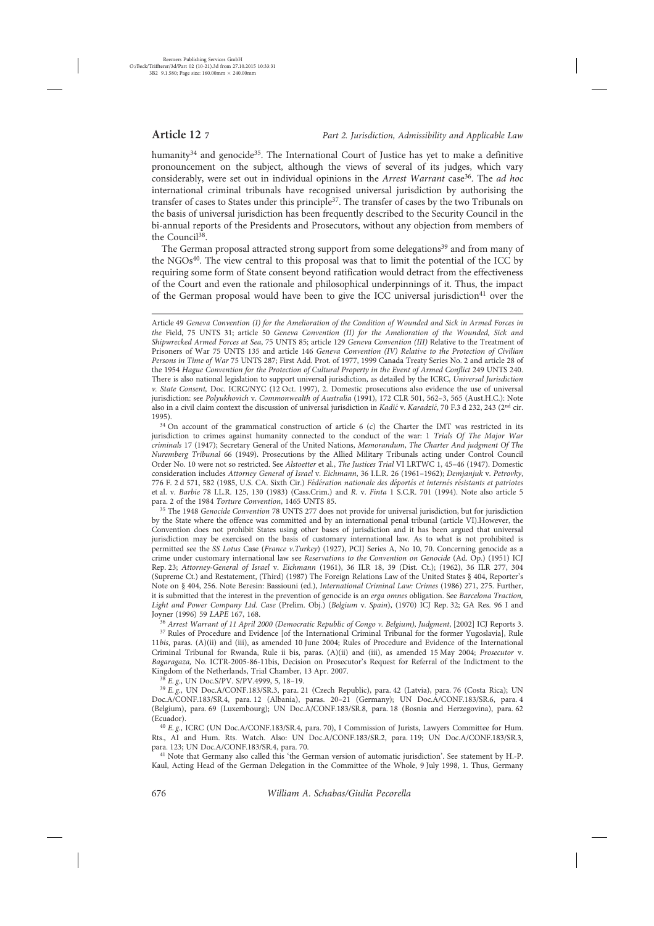Article 12 7 Part 2. Jurisdiction, Admissibility and Applicable Law

humanity<sup>34</sup> and genocide<sup>35</sup>. The International Court of Justice has yet to make a definitive pronouncement on the subject, although the views of several of its judges, which vary considerably, were set out in individual opinions in the Arrest Warrant case<sup>36</sup>. The ad hoc international criminal tribunals have recognised universal jurisdiction by authorising the transfer of cases to States under this principle<sup>37</sup>. The transfer of cases by the two Tribunals on the basis of universal jurisdiction has been frequently described to the Security Council in the bi-annual reports of the Presidents and Prosecutors, without any objection from members of the Council38.

The German proposal attracted strong support from some delegations<sup>39</sup> and from many of the NGOs<sup>40</sup>. The view central to this proposal was that to limit the potential of the ICC by requiring some form of State consent beyond ratification would detract from the effectiveness of the Court and even the rationale and philosophical underpinnings of it. Thus, the impact of the German proposal would have been to give the ICC universal jurisdiction $41$  over the

<sup>36</sup> Arrest Warrant of 11 April 2000 (Democratic Republic of Congo v. Belgium), Judgment, [2002] ICJ Reports 3. <sup>37</sup> Rules of Procedure and Evidence [of the International Criminal Tribunal for the former Yugoslavia], Rule 11bis, paras. (A)(ii) and (iii), as amended 10 June 2004; Rules of Procedure and Evidence of the International Criminal Tribunal for Rwanda, Rule ii bis, paras. (A)(ii) and (iii), as amended 15 May 2004; Prosecutor v. Bagaragaza, No. ICTR-2005-86-11bis, Decision on Prosecutor's Request for Referral of the Indictment to the Kingdom of the Netherlands, Trial Chamber, 13 Apr. 2007.

<sup>38</sup> E. g., UN Doc.S/PV. S/PV.4999, 5, 18–19.

<sup>39</sup> E. g., UN Doc.A/CONF.183/SR.3, para. 21 (Czech Republic), para. 42 (Latvia), para. 76 (Costa Rica); UN Doc.A/CONF.183/SR.4, para. 12 (Albania), paras. 20–21 (Germany); UN Doc.A/CONF.183/SR.6, para. 4 (Belgium), para. 69 (Luxembourg); UN Doc.A/CONF.183/SR.8, para. 18 (Bosnia and Herzegovina), para. 62 (Ecuador).

<sup>40</sup> E. g., ICRC (UN Doc.A/CONF.183/SR.4, para. 70), I Commission of Jurists, Lawyers Committee for Hum. Rts., AI and Hum. Rts. Watch. Also: UN Doc.A/CONF.183/SR.2, para. 119; UN Doc.A/CONF.183/SR.3, para. 123; UN Doc.A/CONF.183/SR.4, para. 70.

<sup>41</sup> Note that Germany also called this 'the German version of automatic jurisdiction'. See statement by H.-P. Kaul, Acting Head of the German Delegation in the Committee of the Whole, 9 July 1998, 1. Thus, Germany

Article 49 Geneva Convention (I) for the Amelioration of the Condition of Wounded and Sick in Armed Forces in the Field, 75 UNTS 31; article 50 Geneva Convention (II) for the Amelioration of the Wounded, Sick and Shipwrecked Armed Forces at Sea, 75 UNTS 85; article 129 Geneva Convention (III) Relative to the Treatment of Prisoners of War 75 UNTS 135 and article 146 Geneva Convention (IV) Relative to the Protection of Civilian Persons in Time of War 75 UNTS 287; First Add. Prot. of 1977, 1999 Canada Treaty Series No. 2 and article 28 of the 1954 Hague Convention for the Protection of Cultural Property in the Event of Armed Conflict 249 UNTS 240. There is also national legislation to support universal jurisdiction, as detailed by the ICRC, Universal Jurisdiction v. State Consent, Doc. ICRC/NYC (12 Oct. 1997), 2. Domestic prosecutions also evidence the use of universal jurisdiction: see Polyukhovich v. Commonwealth of Australia (1991), 172 CLR 501, 562–3, 565 (Aust.H.C.): Note also in a civil claim context the discussion of universal jurisdiction in Kadić v. Karadzić, 70 F.3 d 232, 243 (2<sup>nd</sup> cir. 1995).

<sup>&</sup>lt;sup>34</sup> On account of the grammatical construction of article 6 (c) the Charter the IMT was restricted in its jurisdiction to crimes against humanity connected to the conduct of the war: 1 Trials Of The Major War criminals 17 (1947); Secretary General of the United Nations, Memorandum, The Charter And judgment Of The Nuremberg Tribunal 66 (1949). Prosecutions by the Allied Military Tribunals acting under Control Council Order No. 10 were not so restricted. See Alstoetter et al., The Justices Trial VI LRTWC 1, 45–46 (1947). Domestic consideration includes Attorney General of Israel v. Eichmann, 36 I.L.R. 26 (1961–1962); Demjanjuk v. Petrovky, 776 F. 2 d 571, 582 (1985, U.S. CA. Sixth Cir.) Fédération nationale des déportés et internés résistants et patriotes et al. v. Barbie 78 I.L.R. 125, 130 (1983) (Cass.Crim.) and R. v. Finta 1 S.C.R. 701 (1994). Note also article 5 para. 2 of the 1984 Torture Convention, 1465 UNTS 85.<br><sup>35</sup> The 1948 Genocide Convention 78 UNTS 277 does not provide for universal jurisdiction, but for jurisdiction

by the State where the offence was committed and by an international penal tribunal (article VI).However, the Convention does not prohibit States using other bases of jurisdiction and it has been argued that universal jurisdiction may be exercised on the basis of customary international law. As to what is not prohibited is permitted see the SS Lotus Case (France v.Turkey) (1927), PCIJ Series A, No 10, 70. Concerning genocide as a crime under customary international law see Reservations to the Convention on Genocide (Ad. Op.) (1951) ICJ Rep. 23; Attorney-General of Israel v. Eichmann (1961), 36 ILR 18, 39 (Dist. Ct.); (1962), 36 ILR 277, 304 (Supreme Ct.) and Restatement, (Third) (1987) The Foreign Relations Law of the United States § 404, Reporter's Note on § 404, 256. Note Beresin: Bassiouni (ed.), International Criminal Law: Crimes (1986) 271, 275. Further, it is submitted that the interest in the prevention of genocide is an erga omnes obligation. See Barcelona Traction, Light and Power Company Ltd. Case (Prelim. Obj.) (Belgium v. Spain), (1970) ICJ Rep. 32; GA Res. 96 I and Joyner (1996) 59 LAPE 167, 168.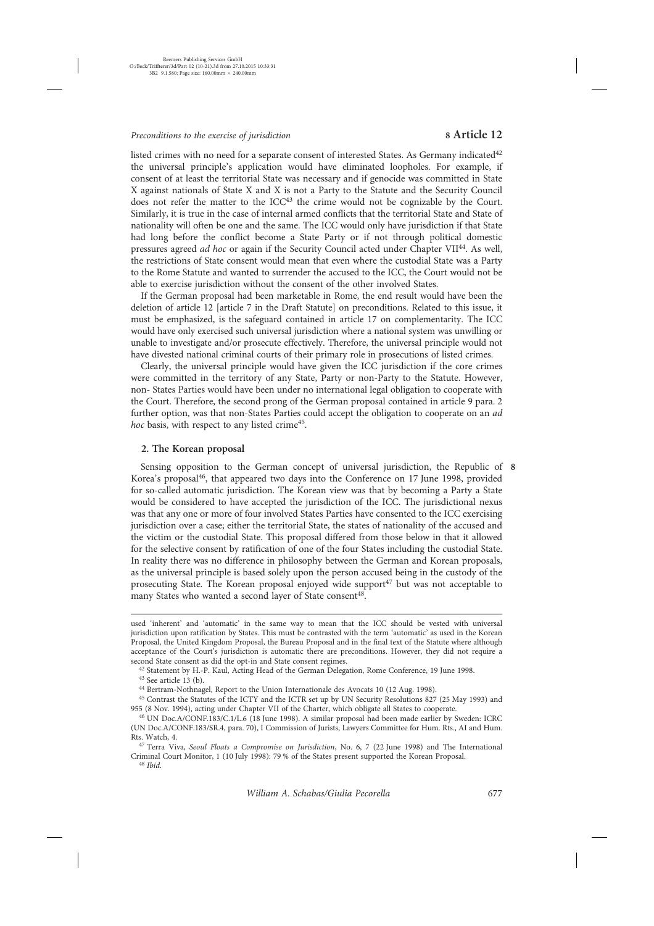Preconditions to the exercise of jurisdiction 8 Article 12

listed crimes with no need for a separate consent of interested States. As Germany indicated<sup>42</sup> the universal principle's application would have eliminated loopholes. For example, if consent of at least the territorial State was necessary and if genocide was committed in State X against nationals of State X and X is not a Party to the Statute and the Security Council does not refer the matter to the ICC<sup>43</sup> the crime would not be cognizable by the Court. Similarly, it is true in the case of internal armed conflicts that the territorial State and State of nationality will often be one and the same. The ICC would only have jurisdiction if that State had long before the conflict become a State Party or if not through political domestic pressures agreed *ad hoc* or again if the Security Council acted under Chapter VII<sup>44</sup>. As well, the restrictions of State consent would mean that even where the custodial State was a Party to the Rome Statute and wanted to surrender the accused to the ICC, the Court would not be able to exercise jurisdiction without the consent of the other involved States.

If the German proposal had been marketable in Rome, the end result would have been the deletion of article 12 [article 7 in the Draft Statute] on preconditions. Related to this issue, it must be emphasized, is the safeguard contained in article 17 on complementarity. The ICC would have only exercised such universal jurisdiction where a national system was unwilling or unable to investigate and/or prosecute effectively. Therefore, the universal principle would not have divested national criminal courts of their primary role in prosecutions of listed crimes.

Clearly, the universal principle would have given the ICC jurisdiction if the core crimes were committed in the territory of any State, Party or non-Party to the Statute. However, non- States Parties would have been under no international legal obligation to cooperate with the Court. Therefore, the second prong of the German proposal contained in article 9 para. 2 further option, was that non-States Parties could accept the obligation to cooperate on an ad hoc basis, with respect to any listed crime<sup>45</sup>.

### 2. The Korean proposal

Sensing opposition to the German concept of universal jurisdiction, the Republic of 8 Korea's proposal46, that appeared two days into the Conference on 17 June 1998, provided for so-called automatic jurisdiction. The Korean view was that by becoming a Party a State would be considered to have accepted the jurisdiction of the ICC. The jurisdictional nexus was that any one or more of four involved States Parties have consented to the ICC exercising jurisdiction over a case; either the territorial State, the states of nationality of the accused and the victim or the custodial State. This proposal differed from those below in that it allowed for the selective consent by ratification of one of the four States including the custodial State. In reality there was no difference in philosophy between the German and Korean proposals, as the universal principle is based solely upon the person accused being in the custody of the prosecuting State. The Korean proposal enjoyed wide support $47$  but was not acceptable to many States who wanted a second layer of State consent<sup>48</sup>.

used 'inherent' and 'automatic' in the same way to mean that the ICC should be vested with universal jurisdiction upon ratification by States. This must be contrasted with the term 'automatic' as used in the Korean Proposal, the United Kingdom Proposal, the Bureau Proposal and in the final text of the Statute where although acceptance of the Court's jurisdiction is automatic there are preconditions. However, they did not require a second State consent as did the opt-in and State consent regimes.

<sup>&</sup>lt;sup>42</sup> Statement by H.-P. Kaul, Acting Head of the German Delegation, Rome Conference, 19 June 1998.

<sup>43</sup> See article 13 (b).

<sup>44</sup> Bertram-Nothnagel, Report to the Union Internationale des Avocats 10 (12 Aug. 1998).

<sup>45</sup> Contrast the Statutes of the ICTY and the ICTR set up by UN Security Resolutions 827 (25 May 1993) and 955 (8 Nov. 1994), acting under Chapter VII of the Charter, which obligate all States to cooperate.

<sup>46</sup> UN Doc.A/CONF.183/C.1/L.6 (18 June 1998). A similar proposal had been made earlier by Sweden: ICRC (UN Doc.A/CONF.183/SR.4, para. 70), I Commission of Jurists, Lawyers Committee for Hum. Rts., AI and Hum. Rts. Watch, 4.

<sup>&</sup>lt;sup>47</sup> Terra Viva, Seoul Floats a Compromise on Jurisdiction, No. 6, 7 (22 June 1998) and The International Criminal Court Monitor, 1 (10 July 1998): 79 % of the States present supported the Korean Proposal. <sup>48</sup> Ibid.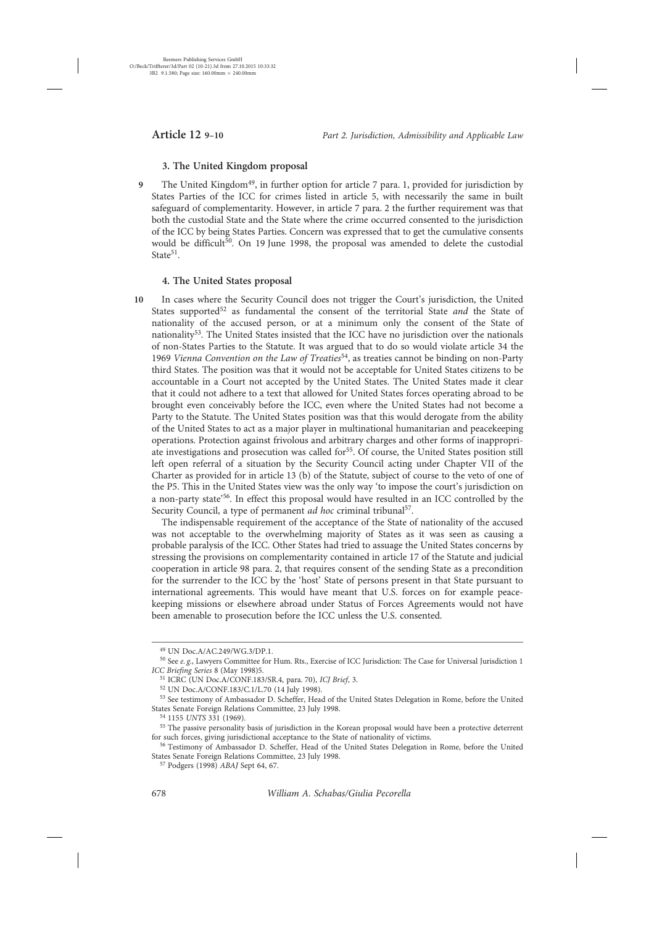Article 12 9–10 Part 2. Jurisdiction, Admissibility and Applicable Law

### 3. The United Kingdom proposal

9 The United Kingdom<sup>49</sup>, in further option for article 7 para. 1, provided for jurisdiction by States Parties of the ICC for crimes listed in article 5, with necessarily the same in built safeguard of complementarity. However, in article 7 para. 2 the further requirement was that both the custodial State and the State where the crime occurred consented to the jurisdiction of the ICC by being States Parties. Concern was expressed that to get the cumulative consents would be difficult<sup>50</sup>. On 19 June 1998, the proposal was amended to delete the custodial State $51$ .

### 4. The United States proposal

10 In cases where the Security Council does not trigger the Court's jurisdiction, the United States supported<sup>52</sup> as fundamental the consent of the territorial State *and* the State of nationality of the accused person, or at a minimum only the consent of the State of nationality53. The United States insisted that the ICC have no jurisdiction over the nationals of non-States Parties to the Statute. It was argued that to do so would violate article 34 the 1969 Vienna Convention on the Law of Treaties<sup>54</sup>, as treaties cannot be binding on non-Party third States. The position was that it would not be acceptable for United States citizens to be accountable in a Court not accepted by the United States. The United States made it clear that it could not adhere to a text that allowed for United States forces operating abroad to be brought even conceivably before the ICC, even where the United States had not become a Party to the Statute. The United States position was that this would derogate from the ability of the United States to act as a major player in multinational humanitarian and peacekeeping operations. Protection against frivolous and arbitrary charges and other forms of inappropriate investigations and prosecution was called for<sup>55</sup>. Of course, the United States position still left open referral of a situation by the Security Council acting under Chapter VII of the Charter as provided for in article 13 (b) of the Statute, subject of course to the veto of one of the P5. This in the United States view was the only way 'to impose the court's jurisdiction on a non-party state<sup>256</sup>. In effect this proposal would have resulted in an ICC controlled by the Security Council, a type of permanent *ad hoc* criminal tribunal<sup>57</sup>.

The indispensable requirement of the acceptance of the State of nationality of the accused was not acceptable to the overwhelming majority of States as it was seen as causing a probable paralysis of the ICC. Other States had tried to assuage the United States concerns by stressing the provisions on complementarity contained in article 17 of the Statute and judicial cooperation in article 98 para. 2, that requires consent of the sending State as a precondition for the surrender to the ICC by the 'host' State of persons present in that State pursuant to international agreements. This would have meant that U.S. forces on for example peacekeeping missions or elsewhere abroad under Status of Forces Agreements would not have been amenable to prosecution before the ICC unless the U.S. consented.

<sup>49</sup> UN Doc.A/AC.249/WG.3/DP.1.

<sup>50</sup> See e. g., Lawyers Committee for Hum. Rts., Exercise of ICC Jurisdiction: The Case for Universal Jurisdiction 1 ICC Briefing Series 8 (May 1998)5.

<sup>51</sup> ICRC (UN Doc.A/CONF.183/SR.4, para. 70), ICJ Brief, 3.

<sup>52</sup> UN Doc.A/CONF.183/C.1/L.70 (14 July 1998).

<sup>53</sup> See testimony of Ambassador D. Scheffer, Head of the United States Delegation in Rome, before the United States Senate Foreign Relations Committee, 23 July 1998.

<sup>54</sup> 1155 UNTS 331 (1969).

<sup>55</sup> The passive personality basis of jurisdiction in the Korean proposal would have been a protective deterrent for such forces, giving jurisdictional acceptance to the State of nationality of victims.

<sup>56</sup> Testimony of Ambassador D. Scheffer, Head of the United States Delegation in Rome, before the United States Senate Foreign Relations Committee, 23 July 1998.

<sup>57</sup> Podgers (1998) ABAJ Sept 64, 67.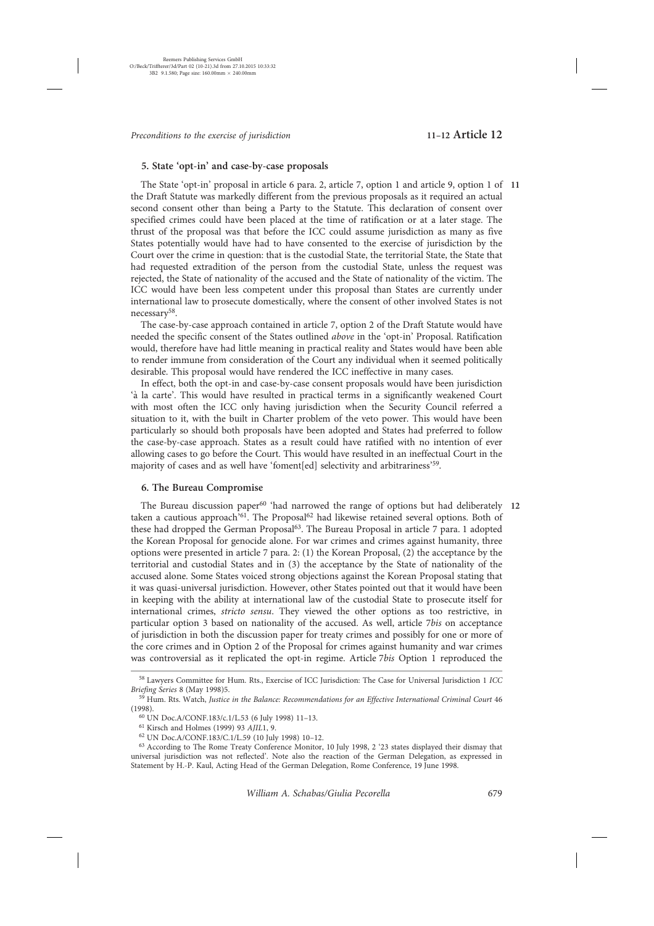Preconditions to the exercise of jurisdiction 11–12 Article 12

#### 5. State 'opt-in' and case-by-case proposals

The State 'opt-in' proposal in article 6 para. 2, article 7, option 1 and article 9, option 1 of 11 the Draft Statute was markedly different from the previous proposals as it required an actual second consent other than being a Party to the Statute. This declaration of consent over specified crimes could have been placed at the time of ratification or at a later stage. The thrust of the proposal was that before the ICC could assume jurisdiction as many as five States potentially would have had to have consented to the exercise of jurisdiction by the Court over the crime in question: that is the custodial State, the territorial State, the State that had requested extradition of the person from the custodial State, unless the request was rejected, the State of nationality of the accused and the State of nationality of the victim. The ICC would have been less competent under this proposal than States are currently under international law to prosecute domestically, where the consent of other involved States is not necessary58.

The case-by-case approach contained in article 7, option 2 of the Draft Statute would have needed the specific consent of the States outlined above in the 'opt-in' Proposal. Ratification would, therefore have had little meaning in practical reality and States would have been able to render immune from consideration of the Court any individual when it seemed politically desirable. This proposal would have rendered the ICC ineffective in many cases.

In effect, both the opt-in and case-by-case consent proposals would have been jurisdiction 'a` la carte'. This would have resulted in practical terms in a significantly weakened Court with most often the ICC only having jurisdiction when the Security Council referred a situation to it, with the built in Charter problem of the veto power. This would have been particularly so should both proposals have been adopted and States had preferred to follow the case-by-case approach. States as a result could have ratified with no intention of ever allowing cases to go before the Court. This would have resulted in an ineffectual Court in the majority of cases and as well have 'foment[ed] selectivity and arbitrariness' 59.

#### 6. The Bureau Compromise

The Bureau discussion paper<sup>60</sup> 'had narrowed the range of options but had deliberately 12 taken a cautious approach<sup>'61</sup>. The Proposal<sup>62</sup> had likewise retained several options. Both of these had dropped the German Proposal<sup>63</sup>. The Bureau Proposal in article 7 para. 1 adopted the Korean Proposal for genocide alone. For war crimes and crimes against humanity, three options were presented in article 7 para. 2: (1) the Korean Proposal, (2) the acceptance by the territorial and custodial States and in (3) the acceptance by the State of nationality of the accused alone. Some States voiced strong objections against the Korean Proposal stating that it was quasi-universal jurisdiction. However, other States pointed out that it would have been in keeping with the ability at international law of the custodial State to prosecute itself for international crimes, stricto sensu. They viewed the other options as too restrictive, in particular option 3 based on nationality of the accused. As well, article 7bis on acceptance of jurisdiction in both the discussion paper for treaty crimes and possibly for one or more of the core crimes and in Option 2 of the Proposal for crimes against humanity and war crimes was controversial as it replicated the opt-in regime. Article 7bis Option 1 reproduced the

<sup>58</sup> Lawyers Committee for Hum. Rts., Exercise of ICC Jurisdiction: The Case for Universal Jurisdiction 1 ICC Briefing Series 8 (May 1998)5.<br><sup>59</sup> Hum. Rts. Watch, *Justice in the Balance: Recommendations for an Effective International Criminal Court 46* 

<sup>(1998).</sup>

<sup>60</sup> UN Doc.A/CONF.183/c.1/L.53 (6 July 1998) 11–13.

<sup>61</sup> Kirsch and Holmes (1999) 93 AJIL1, 9.

<sup>62</sup> UN Doc.A/CONF.183/C.1/L.59 (10 July 1998) 10–12.

<sup>&</sup>lt;sup>63</sup> According to The Rome Treaty Conference Monitor, 10 July 1998, 2 '23 states displayed their dismay that universal jurisdiction was not reflected'. Note also the reaction of the German Delegation, as expressed in Statement by H.-P. Kaul, Acting Head of the German Delegation, Rome Conference, 19 June 1998.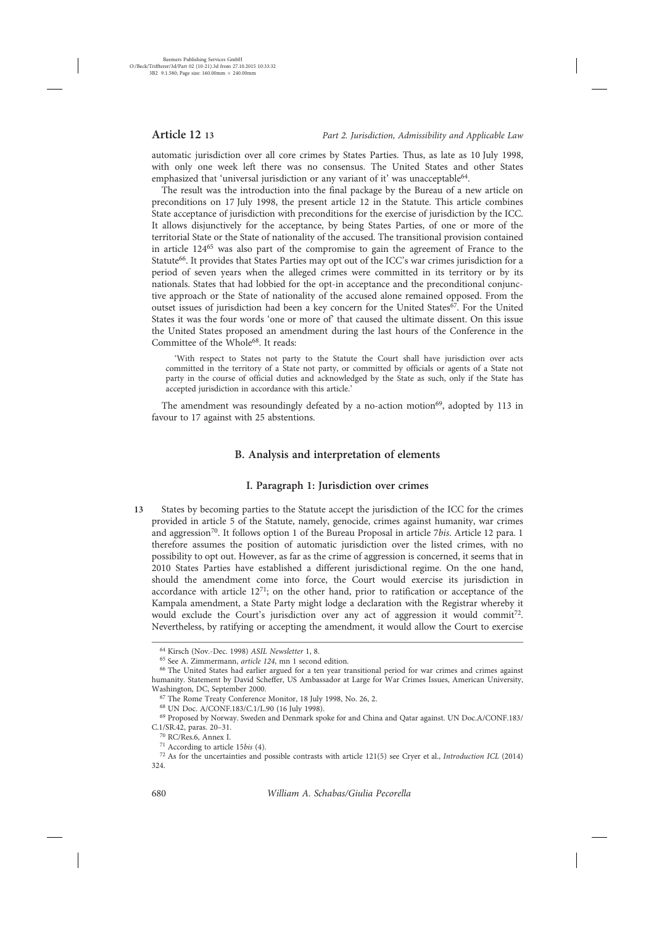Article 12 13 **Part 2. Jurisdiction, Admissibility and Applicable Law** 

automatic jurisdiction over all core crimes by States Parties. Thus, as late as 10 July 1998, with only one week left there was no consensus. The United States and other States emphasized that 'universal jurisdiction or any variant of it' was unacceptable<sup>64</sup>.

The result was the introduction into the final package by the Bureau of a new article on preconditions on 17 July 1998, the present article 12 in the Statute. This article combines State acceptance of jurisdiction with preconditions for the exercise of jurisdiction by the ICC. It allows disjunctively for the acceptance, by being States Parties, of one or more of the territorial State or the State of nationality of the accused. The transitional provision contained in article  $124^{65}$  was also part of the compromise to gain the agreement of France to the Statute<sup>66</sup>. It provides that States Parties may opt out of the ICC's war crimes jurisdiction for a period of seven years when the alleged crimes were committed in its territory or by its nationals. States that had lobbied for the opt-in acceptance and the preconditional conjunctive approach or the State of nationality of the accused alone remained opposed. From the outset issues of jurisdiction had been a key concern for the United States<sup>67</sup>. For the United States it was the four words 'one or more of' that caused the ultimate dissent. On this issue the United States proposed an amendment during the last hours of the Conference in the Committee of the Whole<sup>68</sup>. It reads:

'With respect to States not party to the Statute the Court shall have jurisdiction over acts committed in the territory of a State not party, or committed by officials or agents of a State not party in the course of official duties and acknowledged by the State as such, only if the State has accepted jurisdiction in accordance with this article.'

The amendment was resoundingly defeated by a no-action motion<sup>69</sup>, adopted by 113 in favour to 17 against with 25 abstentions.

#### B. Analysis and interpretation of elements

### I. Paragraph 1: Jurisdiction over crimes

13 States by becoming parties to the Statute accept the jurisdiction of the ICC for the crimes provided in article 5 of the Statute, namely, genocide, crimes against humanity, war crimes and aggression<sup>70</sup>. It follows option 1 of the Bureau Proposal in article 7bis. Article 12 para. 1 therefore assumes the position of automatic jurisdiction over the listed crimes, with no possibility to opt out. However, as far as the crime of aggression is concerned, it seems that in 2010 States Parties have established a different jurisdictional regime. On the one hand, should the amendment come into force, the Court would exercise its jurisdiction in accordance with article  $12^{71}$ ; on the other hand, prior to ratification or acceptance of the Kampala amendment, a State Party might lodge a declaration with the Registrar whereby it would exclude the Court's jurisdiction over any act of aggression it would commit<sup>72</sup>. Nevertheless, by ratifying or accepting the amendment, it would allow the Court to exercise

<sup>64</sup> Kirsch (Nov.-Dec. 1998) ASIL Newsletter 1, 8.

<sup>65</sup> See A. Zimmermann, article 124, mn 1 second edition.

<sup>66</sup> The United States had earlier argued for a ten year transitional period for war crimes and crimes against humanity. Statement by David Scheffer, US Ambassador at Large for War Crimes Issues, American University, Washington, DC, September 2000.

<sup>67</sup> The Rome Treaty Conference Monitor, 18 July 1998, No. 26, 2.

<sup>68</sup> UN Doc. A/CONF.183/C.1/L.90 (16 July 1998).

<sup>69</sup> Proposed by Norway. Sweden and Denmark spoke for and China and Qatar against. UN Doc.A/CONF.183/ C.1/SR.42, paras. 20–31.

<sup>70</sup> RC/Res.6, Annex I.

<sup>71</sup> According to article 15bis (4).

<sup>&</sup>lt;sup>72</sup> As for the uncertainties and possible contrasts with article 121(5) see Cryer et al., *Introduction ICL* (2014) 324.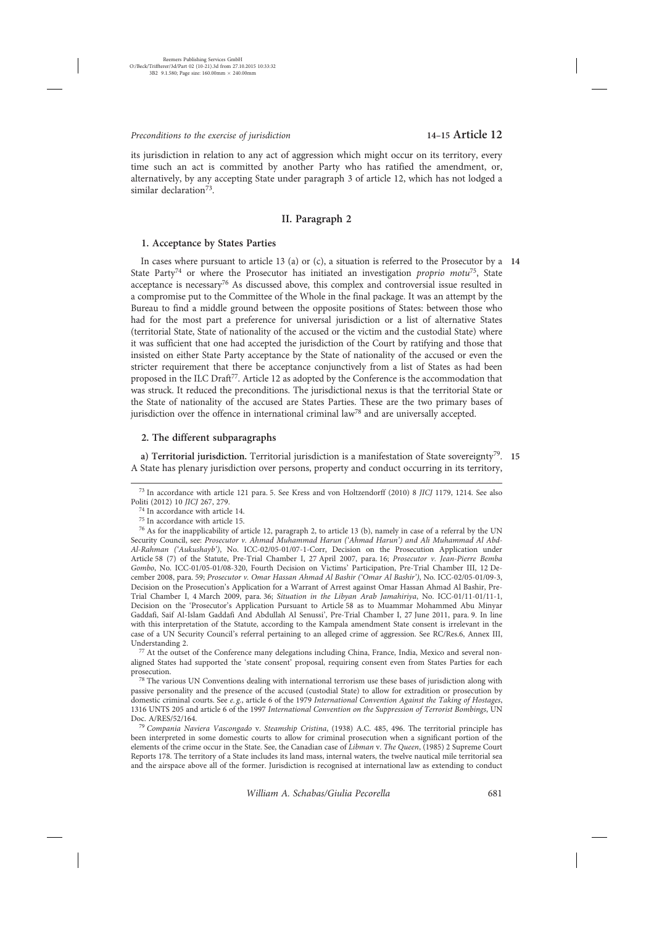Preconditions to the exercise of jurisdiction 14–15 Article 12

its jurisdiction in relation to any act of aggression which might occur on its territory, every time such an act is committed by another Party who has ratified the amendment, or, alternatively, by any accepting State under paragraph 3 of article 12, which has not lodged a similar declaration<sup>73</sup>.

### II. Paragraph 2

#### 1. Acceptance by States Parties

In cases where pursuant to article 13 (a) or (c), a situation is referred to the Prosecutor by a 14 State Party<sup>74</sup> or where the Prosecutor has initiated an investigation *proprio motu*<sup>75</sup>, State acceptance is necessary<sup>76</sup> As discussed above, this complex and controversial issue resulted in a compromise put to the Committee of the Whole in the final package. It was an attempt by the Bureau to find a middle ground between the opposite positions of States: between those who had for the most part a preference for universal jurisdiction or a list of alternative States (territorial State, State of nationality of the accused or the victim and the custodial State) where it was sufficient that one had accepted the jurisdiction of the Court by ratifying and those that insisted on either State Party acceptance by the State of nationality of the accused or even the stricter requirement that there be acceptance conjunctively from a list of States as had been proposed in the ILC Draft<sup>77</sup>. Article 12 as adopted by the Conference is the accommodation that was struck. It reduced the preconditions. The jurisdictional nexus is that the territorial State or the State of nationality of the accused are States Parties. These are the two primary bases of jurisdiction over the offence in international criminal law<sup>78</sup> and are universally accepted.

### 2. The different subparagraphs

a) Territorial jurisdiction. Territorial jurisdiction is a manifestation of State sovereignty<sup>79</sup>. A State has plenary jurisdiction over persons, property and conduct occurring in its territory,

<sup>77</sup> At the outset of the Conference many delegations including China, France, India, Mexico and several nonaligned States had supported the 'state consent' proposal, requiring consent even from States Parties for each prosecution.

<sup>78</sup> The various UN Conventions dealing with international terrorism use these bases of jurisdiction along with passive personality and the presence of the accused (custodial State) to allow for extradition or prosecution by domestic criminal courts. See e.g., article 6 of the 1979 International Convention Against the Taking of Hostages, 1316 UNTS 205 and article 6 of the 1997 International Convention on the Suppression of Terrorist Bombings, UN Doc. A/RES/52/164.

<sup>79</sup> Compania Naviera Vascongado v. Steamship Cristina, (1938) A.C. 485, 496. The territorial principle has been interpreted in some domestic courts to allow for criminal prosecution when a significant portion of the elements of the crime occur in the State. See, the Canadian case of Libman v. The Queen, (1985) 2 Supreme Court Reports 178. The territory of a State includes its land mass, internal waters, the twelve nautical mile territorial sea and the airspace above all of the former. Jurisdiction is recognised at international law as extending to conduct

<sup>73</sup> In accordance with article 121 para. 5. See Kress and von Holtzendorff (2010) 8 JICJ 1179, 1214. See also Politi (2012) 10 JICJ 267, 279.

<sup>74</sup> In accordance with article 14.

<sup>75</sup> In accordance with article 15.

<sup>&</sup>lt;sup>76</sup> As for the inapplicability of article 12, paragraph 2, to article 13 (b), namely in case of a referral by the UN Security Council, see: Prosecutor v. Ahmad Muhammad Harun ('Ahmad Harun') and Ali Muhammad Al Abd-Al-Rahman ('Aukushayb'), No. ICC-02/05-01/07-1-Corr, Decision on the Prosecution Application under Article 58 (7) of the Statute, Pre-Trial Chamber I, 27 April 2007, para. 16; Prosecutor v. Jean-Pierre Bemba Gombo, No. ICC-01/05-01/08-320, Fourth Decision on Victims' Participation, Pre-Trial Chamber III, 12 December 2008, para. 59; Prosecutor v. Omar Hassan Ahmad Al Bashir ('Omar Al Bashir'), No. ICC-02/05-01/09-3, Decision on the Prosecution's Application for a Warrant of Arrest against Omar Hassan Ahmad Al Bashir, Pre-Trial Chamber I, 4 March 2009, para. 36; Situation in the Libyan Arab Jamahiriya, No. ICC-01/11-01/11-1, Decision on the 'Prosecutor's Application Pursuant to Article 58 as to Muammar Mohammed Abu Minyar Gaddafi, Saif Al-Islam Gaddafi And Abdullah Al Senussi', Pre-Trial Chamber I, 27 June 2011, para. 9. In line with this interpretation of the Statute, according to the Kampala amendment State consent is irrelevant in the case of a UN Security Council's referral pertaining to an alleged crime of aggression. See RC/Res.6, Annex III, Understanding 2.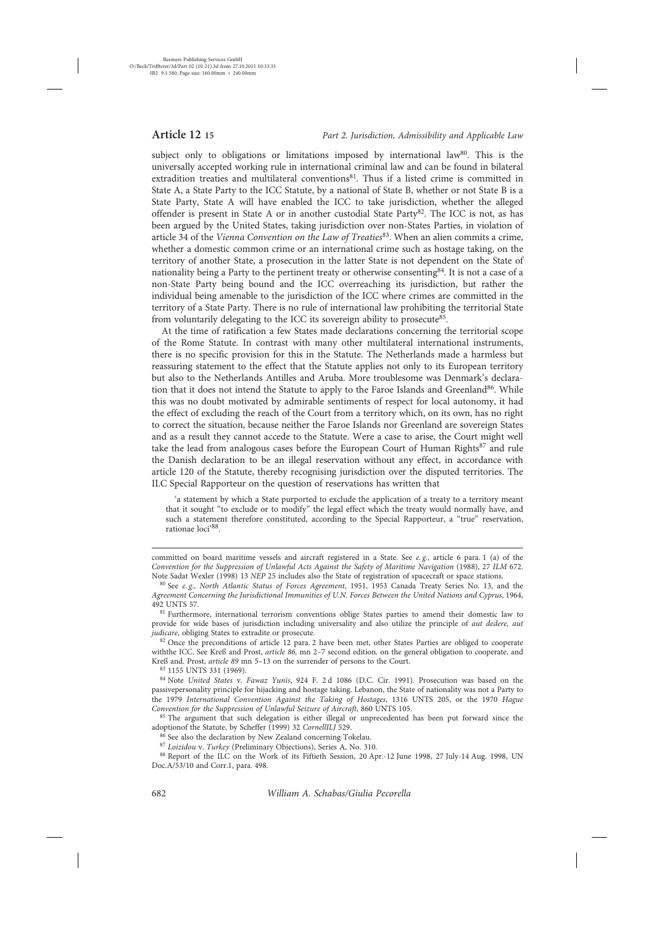### Article 12 15 **Part 2. Jurisdiction, Admissibility and Applicable Law**

subject only to obligations or limitations imposed by international law<sup>80</sup>. This is the universally accepted working rule in international criminal law and can be found in bilateral extradition treaties and multilateral conventions<sup>81</sup>. Thus if a listed crime is committed in State A, a State Party to the ICC Statute, by a national of State B, whether or not State B is a State Party, State A will have enabled the ICC to take jurisdiction, whether the alleged offender is present in State A or in another custodial State Party<sup>82</sup>. The ICC is not, as has been argued by the United States, taking jurisdiction over non-States Parties, in violation of article 34 of the Vienna Convention on the Law of Treaties<sup>83</sup>. When an alien commits a crime, whether a domestic common crime or an international crime such as hostage taking, on the territory of another State, a prosecution in the latter State is not dependent on the State of nationality being a Party to the pertinent treaty or otherwise consenting84. It is not a case of a non-State Party being bound and the ICC overreaching its jurisdiction, but rather the individual being amenable to the jurisdiction of the ICC where crimes are committed in the territory of a State Party. There is no rule of international law prohibiting the territorial State from voluntarily delegating to the ICC its sovereign ability to prosecute<sup>85</sup>

At the time of ratification a few States made declarations concerning the territorial scope of the Rome Statute. In contrast with many other multilateral international instruments, there is no specific provision for this in the Statute. The Netherlands made a harmless but reassuring statement to the effect that the Statute applies not only to its European territory but also to the Netherlands Antilles and Aruba. More troublesome was Denmark's declaration that it does not intend the Statute to apply to the Faroe Islands and Greenland<sup>86</sup>. While this was no doubt motivated by admirable sentiments of respect for local autonomy, it had the effect of excluding the reach of the Court from a territory which, on its own, has no right to correct the situation, because neither the Faroe Islands nor Greenland are sovereign States and as a result they cannot accede to the Statute. Were a case to arise, the Court might well take the lead from analogous cases before the European Court of Human Rights<sup>87</sup> and rule the Danish declaration to be an illegal reservation without any effect, in accordance with article 120 of the Statute, thereby recognising jurisdiction over the disputed territories. The ILC Special Rapporteur on the question of reservations has written that

'a statement by which a State purported to exclude the application of a treaty to a territory meant that it sought "to exclude or to modify" the legal effect which the treaty would normally have, and such a statement therefore constituted, according to the Special Rapporteur, a "true" reservation, rationae loci'<sup>88</sup>.

<sup>82</sup> Once the preconditions of article 12 para. 2 have been met, other States Parties are obliged to cooperate with the ICC. See Kreß and Prost, article 86, mn 2-7 second edition. on the general obligation to cooperate, and Kreß and. Prost, article 89 mn 5–13 on the surrender of persons to the Court.

<sup>83</sup> 1155 UNTS 331 (1969).

84 Note United States v. Fawaz Yunis, 924 F. 2 d 1086 (D.C. Cir. 1991). Prosecution was based on the passivepersonality principle for hijacking and hostage taking. Lebanon, the State of nationality was not a Party to the 1979 International Convention Against the Taking of Hostages, 1316 UNTS 205, or the 1970 Hague Convention for the Suppression of Unlawful Seizure of Aircraft, 860 UNTS 105.

<sup>85</sup> The argument that such delegation is either illegal or unprecedented has been put forward since the adoptionof the Statute, by Scheffer (1999) 32 CornellILJ 529.

See also the declaration by New Zealand concerning Tokelau.

<sup>87</sup> Loizidou v. Turkey (Preliminary Objections), Series A, No. 310.

<sup>88</sup> Report of the ILC on the Work of its Fiftieth Session, 20 Apr.-12 June 1998, 27 July-14 Aug. 1998, UN Doc.A/53/10 and Corr.1, para. 498.

committed on board maritime vessels and aircraft registered in a State. See  $e.g.,$  article 6 para. 1 (a) of the Convention for the Suppression of Unlawful Acts Against the Safety of Maritime Navigation (1988), 27 ILM 672. Note Sadat Wexler (1998) 13 NEP 25 includes also the State of registration of spacecraft or space stations.

<sup>80</sup> See e.g., North Atlantic Status of Forces Agreement, 1951, 1953 Canada Treaty Series No. 13, and the Agreement Concerning the Jurisdictional Immunities of U.N. Forces Between the United Nations and Cyprus, 1964, 492 UNTS 57.

<sup>81</sup> Furthermore, international terrorism conventions oblige States parties to amend their domestic law to provide for wide bases of jurisdiction including universality and also utilize the principle of *aut dedere*, *aut* judicare, obliging States to extradite or prosecute.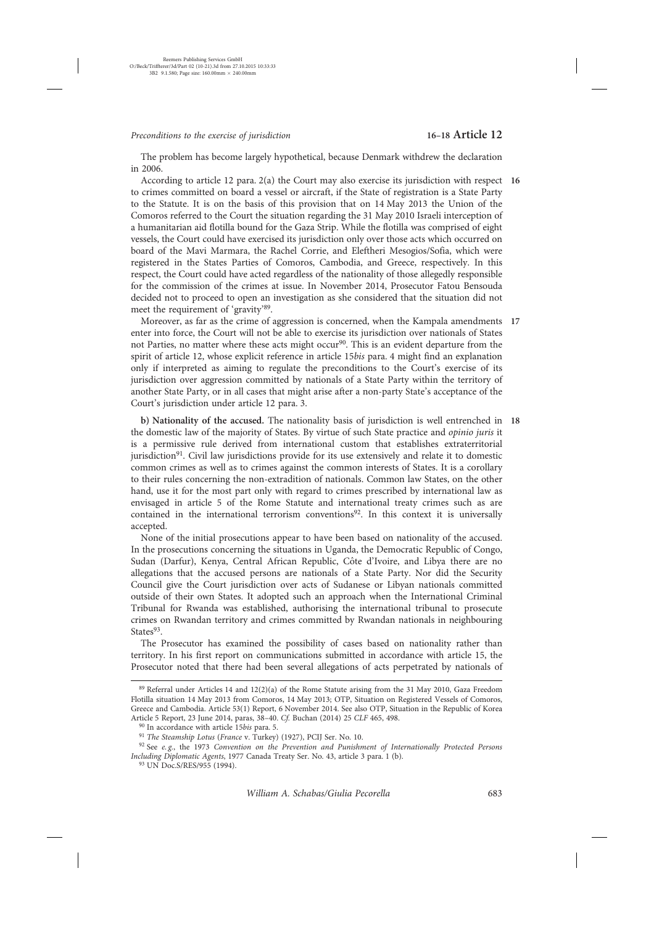### Preconditions to the exercise of jurisdiction 16–18 Article 12

The problem has become largely hypothetical, because Denmark withdrew the declaration in 2006.

According to article 12 para. 2(a) the Court may also exercise its jurisdiction with respect 16 to crimes committed on board a vessel or aircraft, if the State of registration is a State Party to the Statute. It is on the basis of this provision that on 14 May 2013 the Union of the Comoros referred to the Court the situation regarding the 31 May 2010 Israeli interception of a humanitarian aid flotilla bound for the Gaza Strip. While the flotilla was comprised of eight vessels, the Court could have exercised its jurisdiction only over those acts which occurred on board of the Mavi Marmara, the Rachel Corrie, and Eleftheri Mesogios/Sofia, which were registered in the States Parties of Comoros, Cambodia, and Greece, respectively. In this respect, the Court could have acted regardless of the nationality of those allegedly responsible for the commission of the crimes at issue. In November 2014, Prosecutor Fatou Bensouda decided not to proceed to open an investigation as she considered that the situation did not meet the requirement of 'gravity'89.

Moreover, as far as the crime of aggression is concerned, when the Kampala amendments 17 enter into force, the Court will not be able to exercise its jurisdiction over nationals of States not Parties, no matter where these acts might occur<sup>90</sup>. This is an evident departure from the spirit of article 12, whose explicit reference in article 15bis para. 4 might find an explanation only if interpreted as aiming to regulate the preconditions to the Court's exercise of its jurisdiction over aggression committed by nationals of a State Party within the territory of another State Party, or in all cases that might arise after a non-party State's acceptance of the Court's jurisdiction under article 12 para. 3.

b) Nationality of the accused. The nationality basis of jurisdiction is well entrenched in 18 the domestic law of the majority of States. By virtue of such State practice and opinio juris it is a permissive rule derived from international custom that establishes extraterritorial jurisdiction<sup>91</sup>. Civil law jurisdictions provide for its use extensively and relate it to domestic common crimes as well as to crimes against the common interests of States. It is a corollary to their rules concerning the non-extradition of nationals. Common law States, on the other hand, use it for the most part only with regard to crimes prescribed by international law as envisaged in article 5 of the Rome Statute and international treaty crimes such as are contained in the international terrorism conventions<sup>92</sup>. In this context it is universally accepted.

None of the initial prosecutions appear to have been based on nationality of the accused. In the prosecutions concerning the situations in Uganda, the Democratic Republic of Congo, Sudan (Darfur), Kenya, Central African Republic, Côte d'Ivoire, and Libya there are no allegations that the accused persons are nationals of a State Party. Nor did the Security Council give the Court jurisdiction over acts of Sudanese or Libyan nationals committed outside of their own States. It adopted such an approach when the International Criminal Tribunal for Rwanda was established, authorising the international tribunal to prosecute crimes on Rwandan territory and crimes committed by Rwandan nationals in neighbouring States<sup>93</sup>.

The Prosecutor has examined the possibility of cases based on nationality rather than territory. In his first report on communications submitted in accordance with article 15, the Prosecutor noted that there had been several allegations of acts perpetrated by nationals of

92 See e.g., the 1973 Convention on the Prevention and Punishment of Internationally Protected Persons Including Diplomatic Agents, 1977 Canada Treaty Ser. No. 43, article 3 para. 1 (b).

<sup>93</sup> UN Doc.S/RES/955 (1994).

<sup>89</sup> Referral under Articles 14 and 12(2)(a) of the Rome Statute arising from the 31 May 2010, Gaza Freedom Flotilla situation 14 May 2013 from Comoros, 14 May 2013; OTP, Situation on Registered Vessels of Comoros, Greece and Cambodia. Article 53(1) Report, 6 November 2014. See also OTP, Situation in the Republic of Korea Article 5 Report, 23 June 2014, paras, 38–40. Cf. Buchan (2014) 25 CLF 465, 498.

<sup>&</sup>lt;sup>90</sup> In accordance with article 15bis para. 5.

<sup>&</sup>lt;sup>91</sup> The Steamship Lotus (France v. Turkey) (1927), PCIJ Ser. No. 10.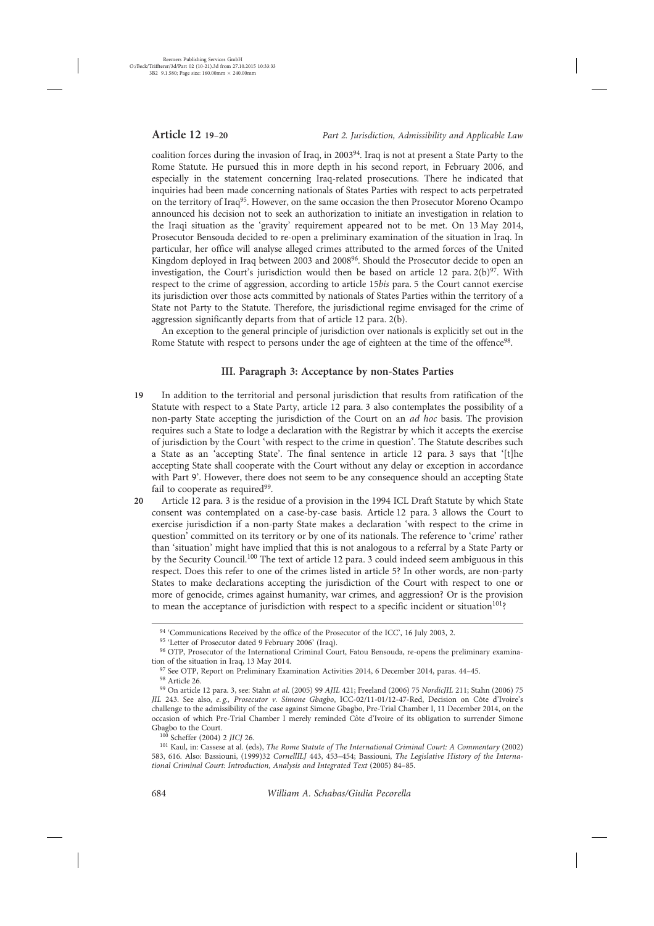### Article 12 19-20 Part 2. Jurisdiction, Admissibility and Applicable Law

coalition forces during the invasion of Iraq, in 200394. Iraq is not at present a State Party to the Rome Statute. He pursued this in more depth in his second report, in February 2006, and especially in the statement concerning Iraq-related prosecutions. There he indicated that inquiries had been made concerning nationals of States Parties with respect to acts perpetrated on the territory of Iraq95. However, on the same occasion the then Prosecutor Moreno Ocampo announced his decision not to seek an authorization to initiate an investigation in relation to the Iraqi situation as the 'gravity' requirement appeared not to be met. On 13 May 2014, Prosecutor Bensouda decided to re-open a preliminary examination of the situation in Iraq. In particular, her office will analyse alleged crimes attributed to the armed forces of the United Kingdom deployed in Iraq between 2003 and 2008<sup>96</sup>. Should the Prosecutor decide to open an investigation, the Court's jurisdiction would then be based on article 12 para.  $2(b)^{97}$ . With respect to the crime of aggression, according to article 15bis para. 5 the Court cannot exercise its jurisdiction over those acts committed by nationals of States Parties within the territory of a State not Party to the Statute. Therefore, the jurisdictional regime envisaged for the crime of aggression significantly departs from that of article 12 para. 2(b).

An exception to the general principle of jurisdiction over nationals is explicitly set out in the Rome Statute with respect to persons under the age of eighteen at the time of the offence<sup>98</sup>.

#### III. Paragraph 3: Acceptance by non-States Parties

- 19 In addition to the territorial and personal jurisdiction that results from ratification of the Statute with respect to a State Party, article 12 para. 3 also contemplates the possibility of a non-party State accepting the jurisdiction of the Court on an ad hoc basis. The provision requires such a State to lodge a declaration with the Registrar by which it accepts the exercise of jurisdiction by the Court 'with respect to the crime in question'. The Statute describes such a State as an 'accepting State'. The final sentence in article 12 para. 3 says that '[t]he accepting State shall cooperate with the Court without any delay or exception in accordance with Part 9'. However, there does not seem to be any consequence should an accepting State fail to cooperate as required<sup>99</sup>.
- 20 Article 12 para. 3 is the residue of a provision in the 1994 ICL Draft Statute by which State consent was contemplated on a case-by-case basis. Article 12 para. 3 allows the Court to exercise jurisdiction if a non-party State makes a declaration 'with respect to the crime in question' committed on its territory or by one of its nationals. The reference to 'crime' rather than 'situation' might have implied that this is not analogous to a referral by a State Party or by the Security Council.100 The text of article 12 para. 3 could indeed seem ambiguous in this respect. Does this refer to one of the crimes listed in article 5? In other words, are non-party States to make declarations accepting the jurisdiction of the Court with respect to one or more of genocide, crimes against humanity, war crimes, and aggression? Or is the provision to mean the acceptance of jurisdiction with respect to a specific incident or situation<sup>101</sup>?

<sup>94 &#</sup>x27;Communications Received by the office of the Prosecutor of the ICC', 16 July 2003, 2.

<sup>95 &#</sup>x27;Letter of Prosecutor dated 9 February 2006' (Iraq).

<sup>96</sup> OTP, Prosecutor of the International Criminal Court, Fatou Bensouda, re-opens the preliminary examination of the situation in Iraq, 13 May 2014.

<sup>97</sup> See OTP, Report on Preliminary Examination Activities 2014, 6 December 2014, paras. 44-45.

<sup>98</sup> Article 26.

<sup>99</sup> On article 12 para. 3, see: Stahn *at al.* (2005) 99 AJIL 421; Freeland (2006) 75 NordicJIL 211; Stahn (2006) 75 JIL 243. See also, e.g., Prosecutor v. Simone Gbagbo, ICC-02/11-01/12-47-Red, Decision on Côte d'Ivoire's challenge to the admissibility of the case against Simone Gbagbo, Pre-Trial Chamber I, 11 December 2014, on the occasion of which Pre-Trial Chamber I merely reminded Côte d'Ivoire of its obligation to surrender Simone Gbagbo to the Court.

Scheffer (2004) 2 JICJ 26.

<sup>&</sup>lt;sup>101</sup> Kaul, in: Cassese at al. (eds), The Rome Statute of The International Criminal Court: A Commentary (2002) 583, 616. Also: Bassiouni, (1999)32 CornellILJ 443, 453–454; Bassiouni, The Legislative History of the International Criminal Court: Introduction, Analysis and Integrated Text (2005) 84–85.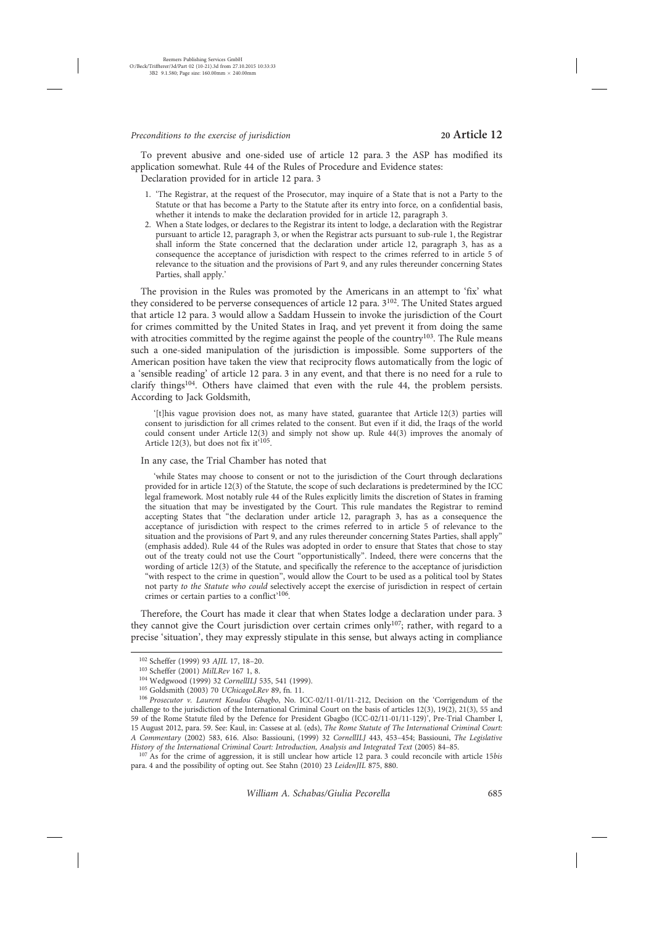### Preconditions to the exercise of jurisdiction 20 Article 12

To prevent abusive and one-sided use of article 12 para. 3 the ASP has modified its application somewhat. Rule 44 of the Rules of Procedure and Evidence states: Declaration provided for in article 12 para. 3

- 1. 'The Registrar, at the request of the Prosecutor, may inquire of a State that is not a Party to the Statute or that has become a Party to the Statute after its entry into force, on a confidential basis, whether it intends to make the declaration provided for in article 12, paragraph 3.
- 2. When a State lodges, or declares to the Registrar its intent to lodge, a declaration with the Registrar pursuant to article 12, paragraph 3, or when the Registrar acts pursuant to sub-rule 1, the Registrar shall inform the State concerned that the declaration under article 12, paragraph 3, has as a consequence the acceptance of jurisdiction with respect to the crimes referred to in article 5 of relevance to the situation and the provisions of Part 9, and any rules thereunder concerning States Parties, shall apply.'

The provision in the Rules was promoted by the Americans in an attempt to 'fix' what they considered to be perverse consequences of article 12 para. 3<sup>102</sup>. The United States argued that article 12 para. 3 would allow a Saddam Hussein to invoke the jurisdiction of the Court for crimes committed by the United States in Iraq, and yet prevent it from doing the same with atrocities committed by the regime against the people of the country<sup>103</sup>. The Rule means such a one-sided manipulation of the jurisdiction is impossible. Some supporters of the American position have taken the view that reciprocity flows automatically from the logic of a 'sensible reading' of article 12 para. 3 in any event, and that there is no need for a rule to clarify things<sup>104</sup>. Others have claimed that even with the rule 44, the problem persists. According to Jack Goldsmith,

'[t]his vague provision does not, as many have stated, guarantee that Article 12(3) parties will consent to jurisdiction for all crimes related to the consent. But even if it did, the Iraqs of the world could consent under Article 12(3) and simply not show up. Rule 44(3) improves the anomaly of Article 12(3), but does not fix it<sup>'105</sup>.

### In any case, the Trial Chamber has noted that

'while States may choose to consent or not to the jurisdiction of the Court through declarations provided for in article 12(3) of the Statute, the scope of such declarations is predetermined by the ICC legal framework. Most notably rule 44 of the Rules explicitly limits the discretion of States in framing the situation that may be investigated by the Court. This rule mandates the Registrar to remind accepting States that "the declaration under article 12, paragraph 3, has as a consequence the acceptance of jurisdiction with respect to the crimes referred to in article 5 of relevance to the situation and the provisions of Part 9, and any rules thereunder concerning States Parties, shall apply" (emphasis added). Rule 44 of the Rules was adopted in order to ensure that States that chose to stay out of the treaty could not use the Court "opportunistically". Indeed, there were concerns that the wording of article 12(3) of the Statute, and specifically the reference to the acceptance of jurisdiction "with respect to the crime in question", would allow the Court to be used as a political tool by States not party to the Statute who could selectively accept the exercise of jurisdiction in respect of certain crimes or certain parties to a conflict' 106.

Therefore, the Court has made it clear that when States lodge a declaration under para. 3 they cannot give the Court jurisdiction over certain crimes only107; rather, with regard to a precise 'situation', they may expressly stipulate in this sense, but always acting in compliance

<sup>107</sup> As for the crime of aggression, it is still unclear how article 12 para. 3 could reconcile with article 15bis para. 4 and the possibility of opting out. See Stahn (2010) 23 LeidenJIL 875, 880.

<sup>102</sup> Scheffer (1999) 93 AJIL 17, 18–20.

<sup>103</sup> Scheffer (2001) MilLRev 167 1, 8.

<sup>104</sup> Wedgwood (1999) 32 CornellILJ 535, 541 (1999).

<sup>105</sup> Goldsmith (2003) 70 UChicagoLRev 89, fn. 11.

<sup>106</sup> Prosecutor v. Laurent Koudou Gbagbo, No. ICC-02/11-01/11-212, Decision on the 'Corrigendum of the challenge to the jurisdiction of the International Criminal Court on the basis of articles 12(3), 19(2), 21(3), 55 and 59 of the Rome Statute filed by the Defence for President Gbagbo (ICC-02/11-01/11-129)', Pre-Trial Chamber I, 15 August 2012, para. 59. See: Kaul, in: Cassese at al. (eds), The Rome Statute of The International Criminal Court: A Commentary (2002) 583, 616. Also: Bassiouni, (1999) 32 CornellILJ 443, 453–454; Bassiouni, The Legislative History of the International Criminal Court: Introduction, Analysis and Integrated Text (2005) 84–85.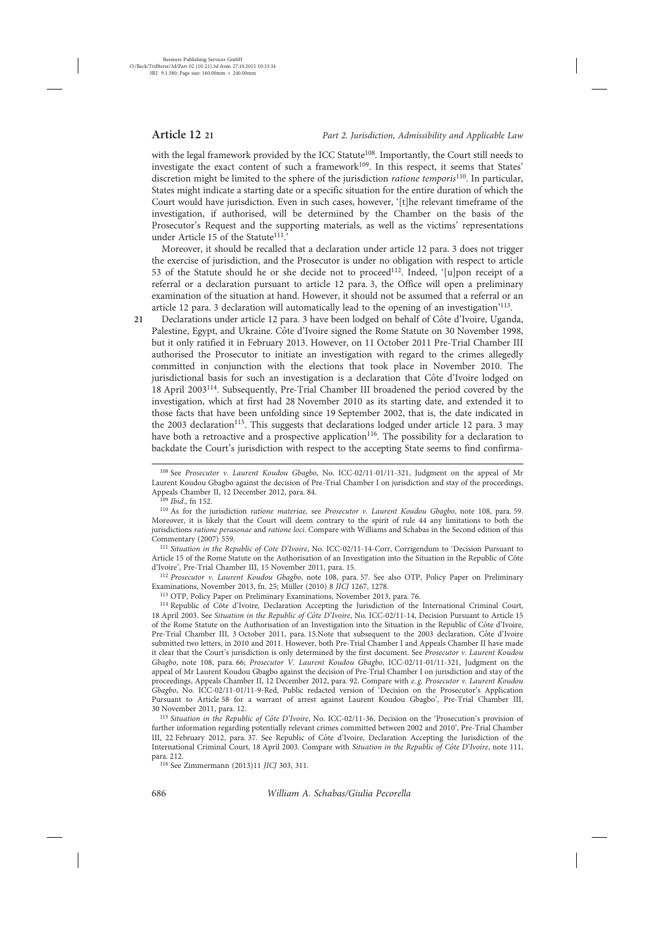Article 12 21 **Part 2. Jurisdiction, Admissibility and Applicable Law** 

with the legal framework provided by the ICC Statute<sup>108</sup>. Importantly, the Court still needs to investigate the exact content of such a framework109. In this respect, it seems that States' discretion might be limited to the sphere of the jurisdiction *ratione temporis*<sup>110</sup>. In particular, States might indicate a starting date or a specific situation for the entire duration of which the Court would have jurisdiction. Even in such cases, however, '[t]he relevant timeframe of the investigation, if authorised, will be determined by the Chamber on the basis of the Prosecutor's Request and the supporting materials, as well as the victims' representations under Article 15 of the Statute<sup>111</sup>.

Moreover, it should be recalled that a declaration under article 12 para. 3 does not trigger the exercise of jurisdiction, and the Prosecutor is under no obligation with respect to article 53 of the Statute should he or she decide not to proceed<sup>112</sup>. Indeed, '[u]pon receipt of a referral or a declaration pursuant to article 12 para. 3, the Office will open a preliminary examination of the situation at hand. However, it should not be assumed that a referral or an article 12 para. 3 declaration will automatically lead to the opening of an investigation<sup>'113</sup>.

21 Declarations under article 12 para. 3 have been lodged on behalf of Côte d'Ivoire, Uganda, Palestine, Egypt, and Ukraine. Côte d'Ivoire signed the Rome Statute on 30 November 1998, but it only ratified it in February 2013. However, on 11 October 2011 Pre-Trial Chamber III authorised the Prosecutor to initiate an investigation with regard to the crimes allegedly committed in conjunction with the elections that took place in November 2010. The jurisdictional basis for such an investigation is a declaration that Côte d'Ivoire lodged on 18 April 2003114. Subsequently, Pre-Trial Chamber III broadened the period covered by the investigation, which at first had 28 November 2010 as its starting date, and extended it to those facts that have been unfolding since 19 September 2002, that is, the date indicated in the 2003 declaration<sup>115</sup>. This suggests that declarations lodged under article 12 para. 3 may have both a retroactive and a prospective application<sup>116</sup>. The possibility for a declaration to backdate the Court's jurisdiction with respect to the accepting State seems to find confirma-

<sup>112</sup> Prosecutor v. Laurent Koudou Gbagbo, note 108, para. 57. See also OTP, Policy Paper on Preliminary Examinations, November 2013, fn. 25; Müller (2010) 8 *JICJ* 1267, 1278.

<sup>113</sup> OTP, Policy Paper on Preliminary Examinations, November 2013, para. 76.

<sup>114</sup> Republic of Côte d'Ivoire, Declaration Accepting the Jurisdiction of the International Criminal Court, 18 April 2003. See Situation in the Republic of Côte D'Ivoire, No. ICC-02/11-14, Decision Pursuant to Article 15 of the Rome Statute on the Authorisation of an Investigation into the Situation in the Republic of Côte d'Ivoire, Pre-Trial Chamber III, 3 October 2011, para. 15.Note that subsequent to the 2003 declaration, Côte d'Ivoire submitted two letters, in 2010 and 2011. However, both Pre-Trial Chamber I and Appeals Chamber II have made it clear that the Court's jurisdiction is only determined by the first document. See Prosecutor v. Laurent Koudou Gbagbo, note 108, para. 66; Prosecutor V. Laurent Koudou Gbagbo, ICC-02/11-01/11-321, Judgment on the appeal of Mr Laurent Koudou Gbagbo against the decision of Pre-Trial Chamber I on jurisdiction and stay of the proceedings, Appeals Chamber II, 12 December 2012, para. 92. Compare with e. g. Prosecutor v. Laurent Koudou Gbagbo, No. ICC-02/11-01/11-9-Red, Public redacted version of 'Decision on the Prosecutor's Application Pursuant to Article 58 for a warrant of arrest against Laurent Koudou Gbagbo', Pre-Trial Chamber III, 30 November 2011, para. 12.

<sup>115</sup> Situation in the Republic of Côte D'Ivoire, No. ICC-02/11-36, Decision on the 'Prosecution's provision of further information regarding potentially relevant crimes committed between 2002 and 2010', Pre-Trial Chamber III, 22 February 2012, para. 37. See Republic of Côte d'Ivoire, Declaration Accepting the Jurisdiction of the International Criminal Court, 18 April 2003. Compare with Situation in the Republic of Côte D'Ivoire, note 111, para. 212.

<sup>116</sup> See Zimmermann (2013)11 JICJ 303, 311.

<sup>108</sup> See Prosecutor v. Laurent Koudou Gbagbo, No. ICC-02/11-01/11-321, Judgment on the appeal of Mr Laurent Koudou Gbagbo against the decision of Pre-Trial Chamber I on jurisdiction and stay of the proceedings, Appeals Chamber II, 12 December 2012, para. 84.

<sup>&</sup>lt;sup>19</sup> Ibid., fn 152.

<sup>110</sup> As for the jurisdiction ratione materiae, see Prosecutor v. Laurent Koudou Gbagbo, note 108, para. 59. Moreover, it is likely that the Court will deem contrary to the spirit of rule 44 any limitations to both the jurisdictions ratione perasonae and ratione loci. Compare with Williams and Schabas in the Second edition of this Commentary (2007) 559.

<sup>111</sup> Situation in the Republic of Cote D'Ivoire, No. ICC-02/11-14-Corr, Corrigendum to 'Decision Pursuant to Article 15 of the Rome Statute on the Authorisation of an Investigation into the Situation in the Republic of Côte d'Ivoire', Pre-Trial Chamber III, 15 November 2011, para. 15.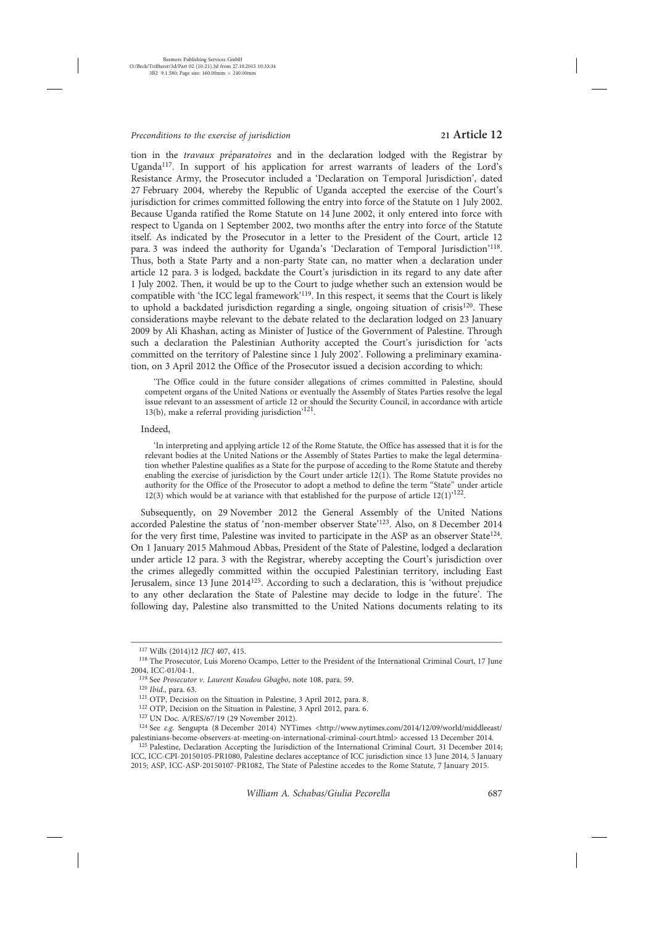### Preconditions to the exercise of jurisdiction 21 Article 12

tion in the travaux préparatoires and in the declaration lodged with the Registrar by Uganda117. In support of his application for arrest warrants of leaders of the Lord's Resistance Army, the Prosecutor included a 'Declaration on Temporal Jurisdiction', dated 27 February 2004, whereby the Republic of Uganda accepted the exercise of the Court's jurisdiction for crimes committed following the entry into force of the Statute on 1 July 2002. Because Uganda ratified the Rome Statute on 14 June 2002, it only entered into force with respect to Uganda on 1 September 2002, two months after the entry into force of the Statute itself. As indicated by the Prosecutor in a letter to the President of the Court, article 12 para. 3 was indeed the authority for Uganda's 'Declaration of Temporal Jurisdiction'<sup>118</sup>. Thus, both a State Party and a non-party State can, no matter when a declaration under article 12 para. 3 is lodged, backdate the Court's jurisdiction in its regard to any date after 1 July 2002. Then, it would be up to the Court to judge whether such an extension would be compatible with 'the ICC legal framework'<sup>119</sup>. In this respect, it seems that the Court is likely to uphold a backdated jurisdiction regarding a single, ongoing situation of crisis<sup>120</sup>. These considerations maybe relevant to the debate related to the declaration lodged on 23 January 2009 by Ali Khashan, acting as Minister of Justice of the Government of Palestine. Through such a declaration the Palestinian Authority accepted the Court's jurisdiction for 'acts committed on the territory of Palestine since 1 July 2002'. Following a preliminary examination, on 3 April 2012 the Office of the Prosecutor issued a decision according to which:

'The Office could in the future consider allegations of crimes committed in Palestine, should competent organs of the United Nations or eventually the Assembly of States Parties resolve the legal issue relevant to an assessment of article 12 or should the Security Council, in accordance with article 13(b), make a referral providing jurisdiction' 121.

#### Indeed,

'In interpreting and applying article 12 of the Rome Statute, the Office has assessed that it is for the relevant bodies at the United Nations or the Assembly of States Parties to make the legal determination whether Palestine qualifies as a State for the purpose of acceding to the Rome Statute and thereby enabling the exercise of jurisdiction by the Court under article 12(1). The Rome Statute provides no authority for the Office of the Prosecutor to adopt a method to define the term "State" under article 12(3) which would be at variance with that established for the purpose of article  $12(1)^{122}$ .

Subsequently, on 29 November 2012 the General Assembly of the United Nations accorded Palestine the status of 'non-member observer State' 123. Also, on 8 December 2014 for the very first time, Palestine was invited to participate in the ASP as an observer State<sup>124</sup>. On 1 January 2015 Mahmoud Abbas, President of the State of Palestine, lodged a declaration under article 12 para. 3 with the Registrar, whereby accepting the Court's jurisdiction over the crimes allegedly committed within the occupied Palestinian territory, including East Jerusalem, since 13 June 2014125. According to such a declaration, this is 'without prejudice to any other declaration the State of Palestine may decide to lodge in the future'. The following day, Palestine also transmitted to the United Nations documents relating to its

ICC, ICC-CPI-20150105-PR1080, Palestine declares acceptance of ICC jurisdiction since 13 June 2014, 5 January 2015; ASP, ICC-ASP-20150107-PR1082, The State of Palestine accedes to the Rome Statute, 7 January 2015.

<sup>117</sup> Wills (2014)12 JICJ 407, 415.

<sup>118</sup> The Prosecutor, Luis Moreno Ocampo, Letter to the President of the International Criminal Court, 17 June 2004, ICC-01/04-1.

<sup>&</sup>lt;sup>119</sup> See Prosecutor v. Laurent Koudou Gbagbo, note 108, para. 59.

<sup>120</sup> Ibid., para. 63.

<sup>&</sup>lt;sup>121</sup> OTP, Decision on the Situation in Palestine, 3 April 2012, para. 8.

<sup>&</sup>lt;sup>122</sup> OTP, Decision on the Situation in Palestine, 3 April 2012, para. 6.

<sup>123</sup> UN Doc. A/RES/67/19 (29 November 2012).

<sup>&</sup>lt;sup>124</sup> See e.g. Sengupta (8 December 2014) NYTimes <http://www.nytimes.com/2014/12/09/world/middleeast/ palestinians-become-observers-at-meeting-on-international-criminal-court.html> accessed 13 December 2014. <sup>125</sup> Palestine, Declaration Accepting the Jurisdiction of the International Criminal Court, 31 December 2014;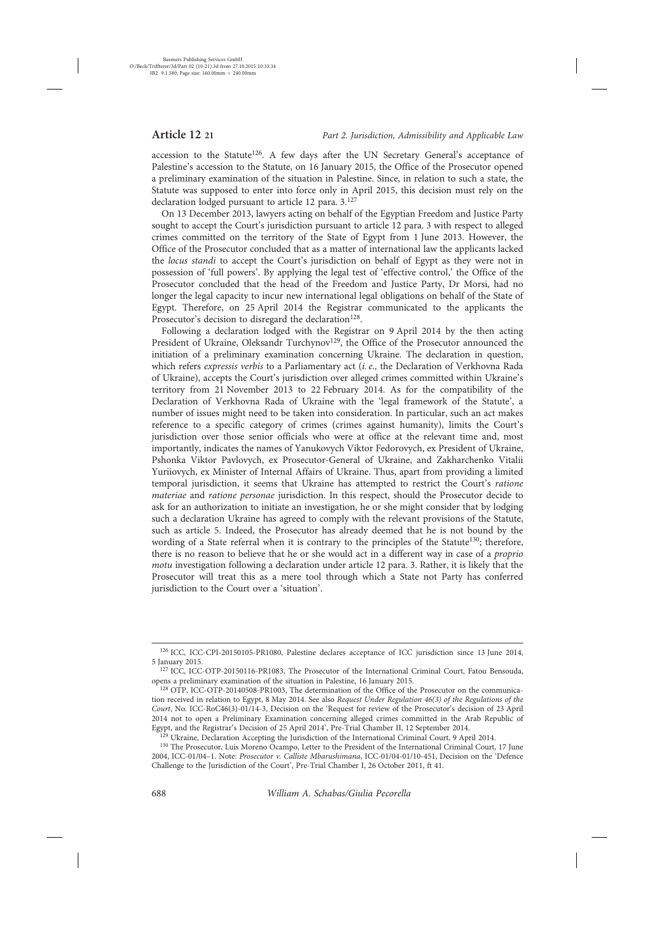Article 12 21 **Part 2. Jurisdiction, Admissibility and Applicable Law** 

accession to the Statute<sup>126</sup>. A few days after the UN Secretary General's acceptance of Palestine's accession to the Statute, on 16 January 2015, the Office of the Prosecutor opened a preliminary examination of the situation in Palestine. Since, in relation to such a state, the Statute was supposed to enter into force only in April 2015, this decision must rely on the declaration lodged pursuant to article 12 para. 3.127

On 13 December 2013, lawyers acting on behalf of the Egyptian Freedom and Justice Party sought to accept the Court's jurisdiction pursuant to article 12 para. 3 with respect to alleged crimes committed on the territory of the State of Egypt from 1 June 2013. However, the Office of the Prosecutor concluded that as a matter of international law the applicants lacked the locus standi to accept the Court's jurisdiction on behalf of Egypt as they were not in possession of 'full powers'. By applying the legal test of 'effective control,' the Office of the Prosecutor concluded that the head of the Freedom and Justice Party, Dr Morsi, had no longer the legal capacity to incur new international legal obligations on behalf of the State of Egypt. Therefore, on 25 April 2014 the Registrar communicated to the applicants the Prosecutor's decision to disregard the declaration<sup>128</sup>.

Following a declaration lodged with the Registrar on 9 April 2014 by the then acting President of Ukraine, Oleksandr Turchynov<sup>129</sup>, the Office of the Prosecutor announced the initiation of a preliminary examination concerning Ukraine. The declaration in question, which refers expressis verbis to a Parliamentary act (i. e., the Declaration of Verkhovna Rada of Ukraine), accepts the Court's jurisdiction over alleged crimes committed within Ukraine's territory from 21 November 2013 to 22 February 2014. As for the compatibility of the Declaration of Verkhovna Rada of Ukraine with the 'legal framework of the Statute', a number of issues might need to be taken into consideration. In particular, such an act makes reference to a specific category of crimes (crimes against humanity), limits the Court's jurisdiction over those senior officials who were at office at the relevant time and, most importantly, indicates the names of Yanukovych Viktor Fedorovych, ex President of Ukraine, Pshonka Viktor Pavlovych, ex Prosecutor-General of Ukraine, and Zakharchenko Vitalii Yuriiovych, ex Minister of Internal Affairs of Ukraine. Thus, apart from providing a limited temporal jurisdiction, it seems that Ukraine has attempted to restrict the Court's ratione materiae and ratione personae jurisdiction. In this respect, should the Prosecutor decide to ask for an authorization to initiate an investigation, he or she might consider that by lodging such a declaration Ukraine has agreed to comply with the relevant provisions of the Statute, such as article 5. Indeed, the Prosecutor has already deemed that he is not bound by the wording of a State referral when it is contrary to the principles of the Statute<sup>130</sup>; therefore, there is no reason to believe that he or she would act in a different way in case of a proprio motu investigation following a declaration under article 12 para. 3. Rather, it is likely that the Prosecutor will treat this as a mere tool through which a State not Party has conferred jurisdiction to the Court over a 'situation'.

<sup>126</sup> ICC, ICC-CPI-20150105-PR1080, Palestine declares acceptance of ICC jurisdiction since 13 June 2014, 5 January 2015.

<sup>127</sup> ICC, ICC-OTP-20150116-PR1083, The Prosecutor of the International Criminal Court, Fatou Bensouda, opens a preliminary examination of the situation in Palestine, 16 January 2015.

<sup>&</sup>lt;sup>28</sup> OTP, ICC-OTP-20140508-PR1003, The determination of the Office of the Prosecutor on the communication received in relation to Egypt, 8 May 2014. See also Request Under Regulation 46(3) of the Regulations of the Court, No. ICC-RoC46(3)-01/14-3, Decision on the 'Request for review of the Prosecutor's decision of 23 April 2014 not to open a Preliminary Examination concerning alleged crimes committed in the Arab Republic of Egypt, and the Registrar's Decision of 25 April 2014', Pre-Trial Chamber II, 12 September 2014.<br><sup>129</sup> Ukraine Declessition Assember 2014.

Ukraine, Declaration Accepting the Jurisdiction of the International Criminal Court, 9 April 2014.

<sup>&</sup>lt;sup>130</sup> The Prosecutor, Luis Moreno Ocampo, Letter to the President of the International Criminal Court, 17 June 2004, ICC-01/04–1. Note: Prosecutor v. Calliste Mbarushimana, ICC-01/04-01/10-451, Decision on the 'Defence Challenge to the Jurisdiction of the Court', Pre-Trial Chamber I, 26 October 2011, ft 41.